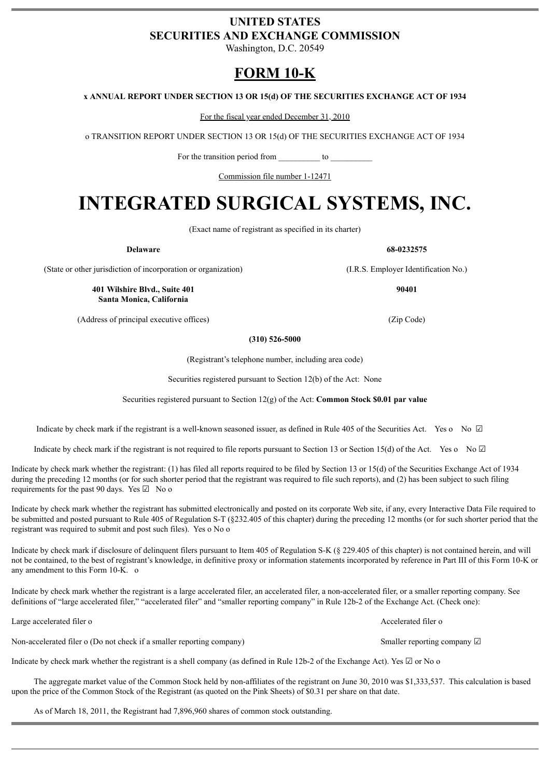## **UNITED STATES SECURITIES AND EXCHANGE COMMISSION**

Washington, D.C. 20549

# **FORM 10-K**

**x ANNUAL REPORT UNDER SECTION 13 OR 15(d) OF THE SECURITIES EXCHANGE ACT OF 1934**

For the fiscal year ended December 31, 2010

o TRANSITION REPORT UNDER SECTION 13 OR 15(d) OF THE SECURITIES EXCHANGE ACT OF 1934

For the transition period from \_\_\_\_\_\_\_\_\_\_\_ to \_

Commission file number 1-12471

# **INTEGRATED SURGICAL SYSTEMS, INC.**

(Exact name of registrant as specified in its charter)

**Delaware 68-0232575**

(State or other jurisdiction of incorporation or organization) (I.R.S. Employer Identification No.)

**401 Wilshire Blvd., Suite 401 Santa Monica, California**

(Address of principal executive offices) (Zip Code)

**(310) 526-5000**

(Registrant's telephone number, including area code)

Securities registered pursuant to Section 12(b) of the Act: None

Securities registered pursuant to Section 12(g) of the Act: **Common Stock \$0.01 par value**

Indicate by check mark if the registrant is a well-known seasoned issuer, as defined in Rule 405 of the Securities Act. Yes o No ☑

Indicate by check mark if the registrant is not required to file reports pursuant to Section 13 or Section 15(d) of the Act. Yes o No  $\boxtimes$ 

Indicate by check mark whether the registrant: (1) has filed all reports required to be filed by Section 13 or 15(d) of the Securities Exchange Act of 1934 during the preceding 12 months (or for such shorter period that the registrant was required to file such reports), and (2) has been subject to such filing requirements for the past 90 days. Yes  $\boxtimes$  No o

Indicate by check mark whether the registrant has submitted electronically and posted on its corporate Web site, if any, every Interactive Data File required to be submitted and posted pursuant to Rule 405 of Regulation S-T (§232.405 of this chapter) during the preceding 12 months (or for such shorter period that the registrant was required to submit and post such files). Yes o No o

Indicate by check mark if disclosure of delinquent filers pursuant to Item 405 of Regulation S-K (§ 229.405 of this chapter) is not contained herein, and will not be contained, to the best of registrant's knowledge, in definitive proxy or information statements incorporated by reference in Part III of this Form 10-K or any amendment to this Form 10-K. o

Indicate by check mark whether the registrant is a large accelerated filer, an accelerated filer, a non-accelerated filer, or a smaller reporting company. See definitions of "large accelerated filer," "accelerated filer" and "smaller reporting company" in Rule 12b-2 of the Exchange Act. (Check one):

Large accelerated filer o  $\blacksquare$ 

Non-accelerated filer o (Do not check if a smaller reporting company) Smaller reporting company ⊠

Indicate by check mark whether the registrant is a shell company (as defined in Rule 12b-2 of the Exchange Act). Yes ☑ or No o

The aggregate market value of the Common Stock held by non-affiliates of the registrant on June 30, 2010 was \$1,333,537. This calculation is based upon the price of the Common Stock of the Registrant (as quoted on the Pink Sheets) of \$0.31 per share on that date.

As of March 18, 2011, the Registrant had 7,896,960 shares of common stock outstanding.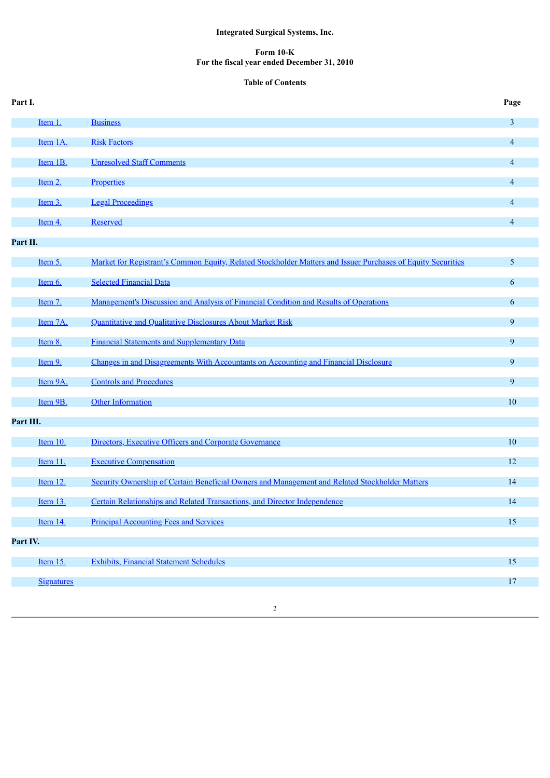## <span id="page-1-0"></span>**Integrated Surgical Systems, Inc.**

#### **Form 10-K For the fiscal year ended December 31, 2010**

## **Table of Contents**

| Part I.   |                   |                                                                                                              | Page           |
|-----------|-------------------|--------------------------------------------------------------------------------------------------------------|----------------|
|           | Item 1.           | <b>Business</b>                                                                                              | $\mathfrak{Z}$ |
|           | Item 1A.          | <b>Risk Factors</b>                                                                                          | $\overline{4}$ |
|           | Item 1B.          | <b>Unresolved Staff Comments</b>                                                                             | $\overline{4}$ |
|           | Item 2.           | Properties                                                                                                   | $\overline{4}$ |
|           | Item 3.           | <b>Legal Proceedings</b>                                                                                     | $\overline{4}$ |
|           | Item 4.           | Reserved                                                                                                     | $\overline{4}$ |
| Part II.  |                   |                                                                                                              |                |
|           | Item 5.           | Market for Registrant's Common Equity, Related Stockholder Matters and Issuer Purchases of Equity Securities | 5              |
|           | Item 6.           | <b>Selected Financial Data</b>                                                                               | 6              |
|           | Item 7.           | Management's Discussion and Analysis of Financial Condition and Results of Operations                        | 6              |
|           | Item 7A.          | Quantitative and Qualitative Disclosures About Market Risk                                                   | 9              |
|           | Item 8.           | <b>Financial Statements and Supplementary Data</b>                                                           | 9              |
|           | Item 9.           | Changes in and Disagreements With Accountants on Accounting and Financial Disclosure                         | 9              |
|           | Item 9A.          | <b>Controls and Procedures</b>                                                                               | 9              |
|           | Item 9B.          | Other Information                                                                                            | 10             |
| Part III. |                   |                                                                                                              |                |
|           | Item 10.          | Directors, Executive Officers and Corporate Governance                                                       | 10             |
|           | Item 11.          | <b>Executive Compensation</b>                                                                                | 12             |
|           | Item 12.          | Security Ownership of Certain Beneficial Owners and Management and Related Stockholder Matters               | 14             |
|           | Item 13.          | Certain Relationships and Related Transactions, and Director Independence                                    | 14             |
|           | <b>Item 14.</b>   | <b>Principal Accounting Fees and Services</b>                                                                | 15             |
| Part IV.  |                   |                                                                                                              |                |
|           | <b>Item 15.</b>   | <b>Exhibits, Financial Statement Schedules</b>                                                               | 15             |
|           | <b>Signatures</b> |                                                                                                              | 17             |
|           |                   |                                                                                                              |                |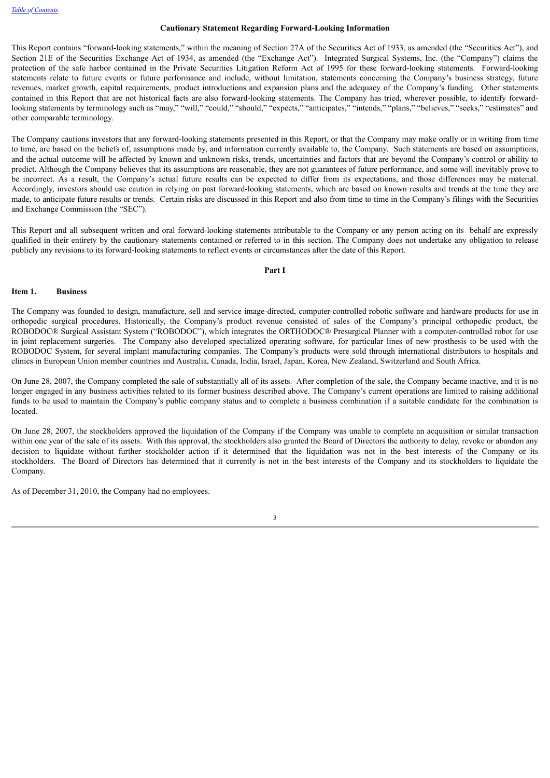#### **Cautionary Statement Regarding Forward-Looking Information**

This Report contains "forward-looking statements," within the meaning of Section 27A of the Securities Act of 1933, as amended (the "Securities Act"), and Section 21E of the Securities Exchange Act of 1934, as amended (the "Exchange Act"). Integrated Surgical Systems, Inc. (the "Company") claims the protection of the safe harbor contained in the Private Securities Litigation Reform Act of 1995 for these forward-looking statements. Forward-looking statements relate to future events or future performance and include, without limitation, statements concerning the Company's business strategy, future revenues, market growth, capital requirements, product introductions and expansion plans and the adequacy of the Company's funding. Other statements contained in this Report that are not historical facts are also forward-looking statements. The Company has tried, wherever possible, to identify forwardlooking statements by terminology such as "may," "will," "could," "should," "expects," "anticipates," "intends," "plans," "believes," "seeks," "estimates" and other comparable terminology.

The Company cautions investors that any forward-looking statements presented in this Report, or that the Company may make orally or in writing from time to time, are based on the beliefs of, assumptions made by, and information currently available to, the Company. Such statements are based on assumptions, and the actual outcome will be affected by known and unknown risks, trends, uncertainties and factors that are beyond the Company's control or ability to predict. Although the Company believes that its assumptions are reasonable, they are not guarantees of future performance, and some will inevitably prove to be incorrect. As a result, the Company's actual future results can be expected to differ from its expectations, and those differences may be material. Accordingly, investors should use caution in relying on past forward-looking statements, which are based on known results and trends at the time they are made, to anticipate future results or trends. Certain risks are discussed in this Report and also from time to time in the Company's filings with the Securities and Exchange Commission (the "SEC").

This Report and all subsequent written and oral forward-looking statements attributable to the Company or any person acting on its behalf are expressly qualified in their entirety by the cautionary statements contained or referred to in this section. The Company does not undertake any obligation to release publicly any revisions to its forward-looking statements to reflect events or circumstances after the date of this Report.

#### **Part I**

#### <span id="page-2-0"></span>**Item 1. Business**

The Company was founded to design, manufacture, sell and service image-directed, computer-controlled robotic software and hardware products for use in orthopedic surgical procedures. Historically, the Company's product revenue consisted of sales of the Company's principal orthopedic product, the ROBODOC® Surgical Assistant System ("ROBODOC"), which integrates the ORTHODOC® Presurgical Planner with a computer-controlled robot for use in joint replacement surgeries. The Company also developed specialized operating software, for particular lines of new prosthesis to be used with the ROBODOC System, for several implant manufacturing companies. The Company's products were sold through international distributors to hospitals and clinics in European Union member countries and Australia, Canada, India, Israel, Japan, Korea, New Zealand, Switzerland and South Africa.

On June 28, 2007, the Company completed the sale of substantially all of its assets. After completion of the sale, the Company became inactive, and it is no longer engaged in any business activities related to its former business described above. The Company's current operations are limited to raising additional funds to be used to maintain the Company's public company status and to complete a business combination if a suitable candidate for the combination is located.

On June 28, 2007, the stockholders approved the liquidation of the Company if the Company was unable to complete an acquisition or similar transaction within one year of the sale of its assets. With this approval, the stockholders also granted the Board of Directors the authority to delay, revoke or abandon any decision to liquidate without further stockholder action if it determined that the liquidation was not in the best interests of the Company or its stockholders. The Board of Directors has determined that it currently is not in the best interests of the Company and its stockholders to liquidate the Company.

As of December 31, 2010, the Company had no employees.

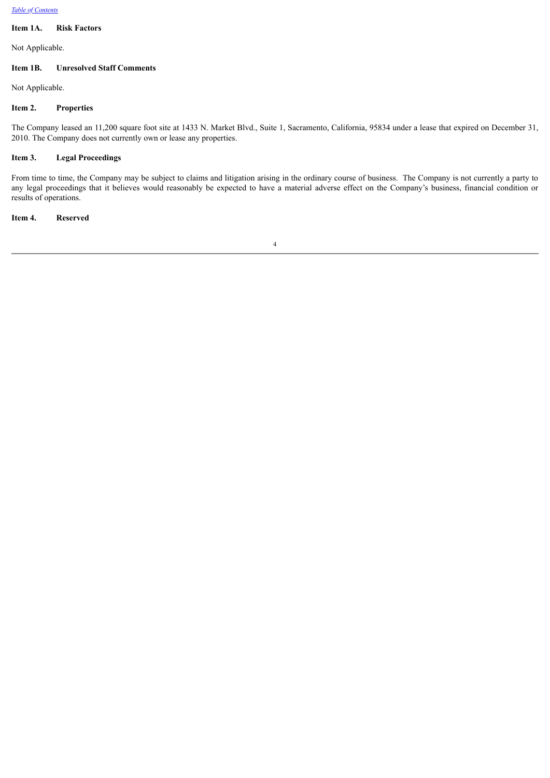## <span id="page-3-0"></span>**Item 1A. Risk Factors**

Not Applicable.

#### <span id="page-3-1"></span>**Item 1B. Unresolved Staff Comments**

Not Applicable.

#### <span id="page-3-2"></span>**Item 2. Properties**

The Company leased an 11,200 square foot site at 1433 N. Market Blvd., Suite 1, Sacramento, California, 95834 under a lease that expired on December 31, 2010. The Company does not currently own or lease any properties.

## <span id="page-3-3"></span>**Item 3. Legal Proceedings**

From time to time, the Company may be subject to claims and litigation arising in the ordinary course of business. The Company is not currently a party to any legal proceedings that it believes would reasonably be expected to have a material adverse effect on the Company's business, financial condition or results of operations.

## <span id="page-3-4"></span>**Item 4. Reserved**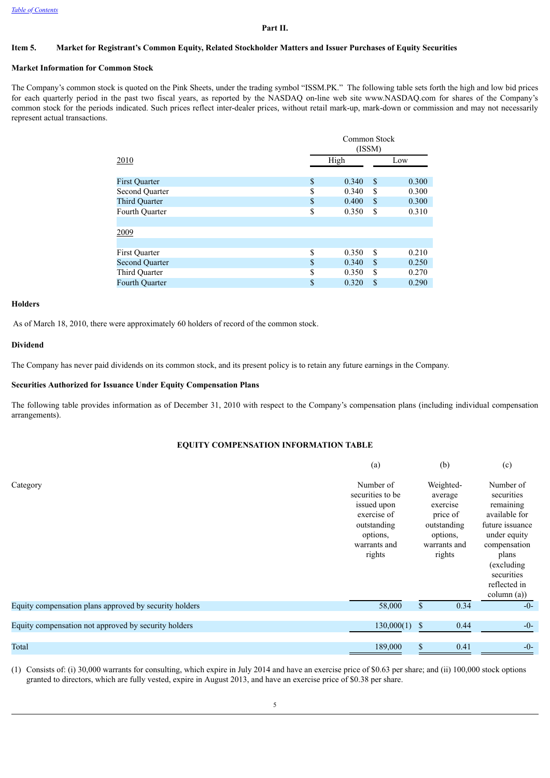#### **Part II.**

## <span id="page-4-0"></span>Item 5. Market for Registrant's Common Equity, Related Stockholder Matters and Issuer Purchases of Equity Securities

## **Market Information for Common Stock**

The Company's common stock is quoted on the Pink Sheets, under the trading symbol "ISSM.PK." The following table sets forth the high and low bid prices for each quarterly period in the past two fiscal years, as reported by the NASDAQ on-line web site www.NASDAQ.com for shares of the Company's common stock for the periods indicated. Such prices reflect inter-dealer prices, without retail mark-up, mark-down or commission and may not necessarily represent actual transactions.

|                       | Common Stock<br>(ISSM) |       |               |       |  |
|-----------------------|------------------------|-------|---------------|-------|--|
| 2010                  |                        | High  |               | Low   |  |
| <b>First Quarter</b>  | \$                     | 0.340 | <sup>\$</sup> | 0.300 |  |
| Second Quarter        | \$                     | 0.340 | \$            | 0.300 |  |
| <b>Third Quarter</b>  | \$                     | 0.400 | <sup>\$</sup> | 0.300 |  |
| Fourth Quarter        | <sup>\$</sup>          | 0.350 | <sup>\$</sup> | 0.310 |  |
|                       |                        |       |               |       |  |
| 2009                  |                        |       |               |       |  |
|                       |                        |       |               |       |  |
| <b>First Quarter</b>  | \$                     | 0.350 | <sup>\$</sup> | 0.210 |  |
| <b>Second Quarter</b> | \$                     | 0.340 | <sup>\$</sup> | 0.250 |  |
| Third Quarter         | S                      | 0.350 | <sup>\$</sup> | 0.270 |  |
| <b>Fourth Quarter</b> | <sup>\$</sup>          | 0.320 | \$            | 0.290 |  |

#### **Holders**

As of March 18, 2010, there were approximately 60 holders of record of the common stock.

#### **Dividend**

The Company has never paid dividends on its common stock, and its present policy is to retain any future earnings in the Company.

#### **Securities Authorized for Issuance Under Equity Compensation Plans**

The following table provides information as of December 31, 2010 with respect to the Company's compensation plans (including individual compensation arrangements).

#### **EQUITY COMPENSATION INFORMATION TABLE**

|                                                        | (a)              | (b)                    | (c)                  |
|--------------------------------------------------------|------------------|------------------------|----------------------|
| Category                                               | Number of        | Weighted-              | Number of            |
|                                                        | securities to be | average                | securities           |
|                                                        | issued upon      | exercise               | remaining            |
|                                                        | exercise of      | price of               | available for        |
|                                                        | outstanding      | outstanding            | future issuance      |
|                                                        | options,         | options,               | under equity         |
|                                                        | warrants and     | warrants and<br>rights | compensation         |
|                                                        | rights           |                        | plans<br>(excluding) |
|                                                        |                  |                        | securities           |
|                                                        |                  |                        | reflected in         |
|                                                        |                  |                        | column (a))          |
| Equity compensation plans approved by security holders | 58,000           | 0.34<br>$\mathbb{S}$   | $-0-$                |
|                                                        |                  |                        |                      |
| Equity compensation not approved by security holders   | 130,000(1)       | \$<br>0.44             | $-0-$                |
|                                                        |                  |                        |                      |
| Total                                                  | 189,000          | \$<br>0.41             | $-0-$                |

(1) Consists of: (i) 30,000 warrants for consulting, which expire in July 2014 and have an exercise price of \$0.63 per share; and (ii) 100,000 stock options granted to directors, which are fully vested, expire in August 2013, and have an exercise price of \$0.38 per share.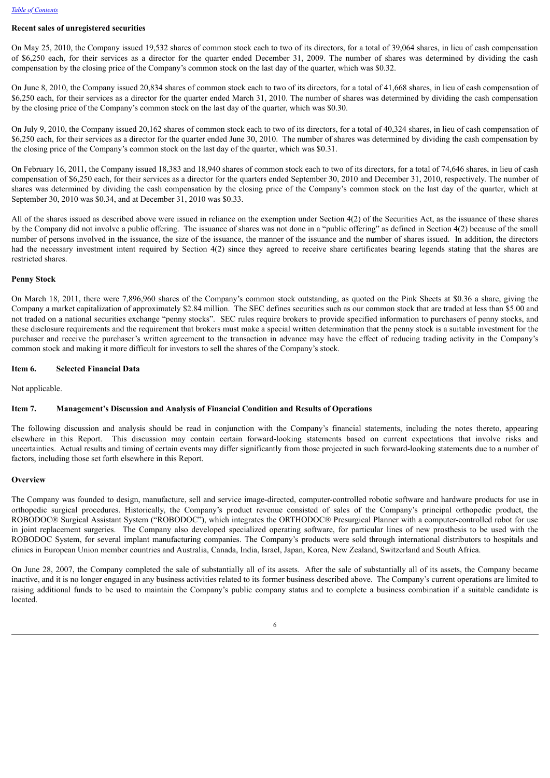#### **Recent sales of unregistered securities**

On May 25, 2010, the Company issued 19,532 shares of common stock each to two of its directors, for a total of 39,064 shares, in lieu of cash compensation of \$6,250 each, for their services as a director for the quarter ended December 31, 2009. The number of shares was determined by dividing the cash compensation by the closing price of the Company's common stock on the last day of the quarter, which was \$0.32.

On June 8, 2010, the Company issued 20,834 shares of common stock each to two of its directors, for a total of 41,668 shares, in lieu of cash compensation of \$6,250 each, for their services as a director for the quarter ended March 31, 2010. The number of shares was determined by dividing the cash compensation by the closing price of the Company's common stock on the last day of the quarter, which was \$0.30.

On July 9, 2010, the Company issued 20,162 shares of common stock each to two of its directors, for a total of 40,324 shares, in lieu of cash compensation of \$6,250 each, for their services as a director for the quarter ended June 30, 2010. The number of shares was determined by dividing the cash compensation by the closing price of the Company's common stock on the last day of the quarter, which was \$0.31.

On February 16, 2011, the Company issued 18,383 and 18,940 shares of common stock each to two of its directors, for a total of 74,646 shares, in lieu of cash compensation of \$6,250 each, for their services as a director for the quarters ended September 30, 2010 and December 31, 2010, respectively. The number of shares was determined by dividing the cash compensation by the closing price of the Company's common stock on the last day of the quarter, which at September 30, 2010 was \$0.34, and at December 31, 2010 was \$0.33.

All of the shares issued as described above were issued in reliance on the exemption under Section 4(2) of the Securities Act, as the issuance of these shares by the Company did not involve a public offering. The issuance of shares was not done in a "public offering" as defined in Section 4(2) because of the small number of persons involved in the issuance, the size of the issuance, the manner of the issuance and the number of shares issued. In addition, the directors had the necessary investment intent required by Section 4(2) since they agreed to receive share certificates bearing legends stating that the shares are restricted shares.

#### **Penny Stock**

On March 18, 2011, there were 7,896,960 shares of the Company's common stock outstanding, as quoted on the Pink Sheets at \$0.36 a share, giving the Company a market capitalization of approximately \$2.84 million. The SEC defines securities such as our common stock that are traded at less than \$5.00 and not traded on a national securities exchange "penny stocks". SEC rules require brokers to provide specified information to purchasers of penny stocks, and these disclosure requirements and the requirement that brokers must make a special written determination that the penny stock is a suitable investment for the purchaser and receive the purchaser's written agreement to the transaction in advance may have the effect of reducing trading activity in the Company's common stock and making it more difficult for investors to sell the shares of the Company's stock.

#### <span id="page-5-0"></span>**Item 6. Selected Financial Data**

Not applicable.

#### <span id="page-5-1"></span>**Item 7. Management's Discussion and Analysis of Financial Condition and Results of Operations**

The following discussion and analysis should be read in conjunction with the Company's financial statements, including the notes thereto, appearing elsewhere in this Report. This discussion may contain certain forward-looking statements based on current expectations that involve risks and uncertainties. Actual results and timing of certain events may differ significantly from those projected in such forward-looking statements due to a number of factors, including those set forth elsewhere in this Report.

#### **Overview**

The Company was founded to design, manufacture, sell and service image-directed, computer-controlled robotic software and hardware products for use in orthopedic surgical procedures. Historically, the Company's product revenue consisted of sales of the Company's principal orthopedic product, the ROBODOC® Surgical Assistant System ("ROBODOC"), which integrates the ORTHODOC® Presurgical Planner with a computer-controlled robot for use in joint replacement surgeries. The Company also developed specialized operating software, for particular lines of new prosthesis to be used with the ROBODOC System, for several implant manufacturing companies. The Company's products were sold through international distributors to hospitals and clinics in European Union member countries and Australia, Canada, India, Israel, Japan, Korea, New Zealand, Switzerland and South Africa.

On June 28, 2007, the Company completed the sale of substantially all of its assets. After the sale of substantially all of its assets, the Company became inactive, and it is no longer engaged in any business activities related to its former business described above. The Company's current operations are limited to raising additional funds to be used to maintain the Company's public company status and to complete a business combination if a suitable candidate is located.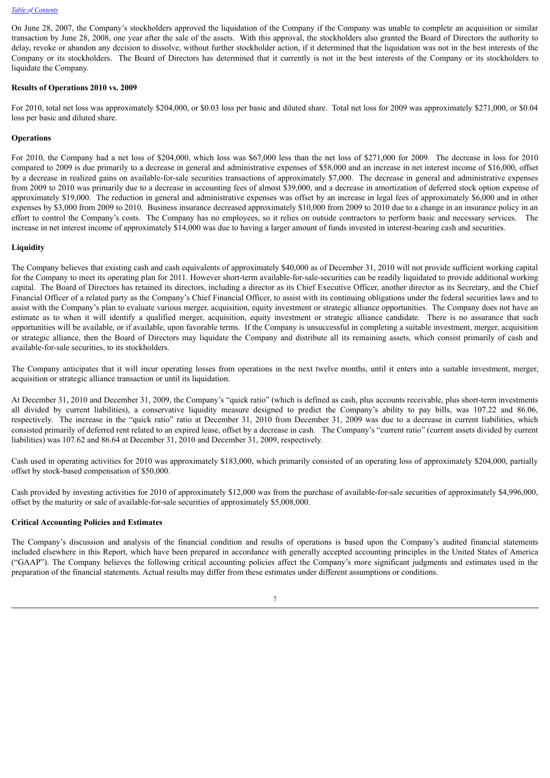#### *Table of [Contents](#page-1-0)*

On June 28, 2007, the Company's stockholders approved the liquidation of the Company if the Company was unable to complete an acquisition or similar transaction by June 28, 2008, one year after the sale of the assets. With this approval, the stockholders also granted the Board of Directors the authority to delay, revoke or abandon any decision to dissolve, without further stockholder action, if it determined that the liquidation was not in the best interests of the Company or its stockholders. The Board of Directors has determined that it currently is not in the best interests of the Company or its stockholders to liquidate the Company.

#### **Results of Operations 2010 vs. 2009**

For 2010, total net loss was approximately \$204,000, or \$0.03 loss per basic and diluted share. Total net loss for 2009 was approximately \$271,000, or \$0.04 loss per basic and diluted share.

#### **Operations**

For 2010, the Company had a net loss of \$204,000, which loss was \$67,000 less than the net loss of \$271,000 for 2009. The decrease in loss for 2010 compared to 2009 is due primarily to a decrease in general and administrative expenses of \$58,000 and an increase in net interest income of \$16,000, offset by a decrease in realized gains on available-for-sale securities transactions of approximately \$7,000. The decrease in general and administrative expenses from 2009 to 2010 was primarily due to a decrease in accounting fees of almost \$39,000, and a decrease in amortization of deferred stock option expense of approximately \$19,000. The reduction in general and administrative expenses was offset by an increase in legal fees of approximately \$6,000 and in other expenses by \$3,000 from 2009 to 2010. Business insurance decreased approximately \$10,000 from 2009 to 2010 due to a change in an insurance policy in an effort to control the Company's costs. The Company has no employees, so it relies on outside contractors to perform basic and necessary services. The increase in net interest income of approximately \$14,000 was due to having a larger amount of funds invested in interest-bearing cash and securities.

#### **Liquidity**

The Company believes that existing cash and cash equivalents of approximately \$40,000 as of December 31, 2010 will not provide sufficient working capital for the Company to meet its operating plan for 2011. However short-term available-for-sale-securities can be readily liquidated to provide additional working capital. The Board of Directors has retained its directors, including a director as its Chief Executive Officer, another director as its Secretary, and the Chief Financial Officer of a related party as the Company's Chief Financial Officer, to assist with its continuing obligations under the federal securities laws and to assist with the Company's plan to evaluate various merger, acquisition, equity investment or strategic alliance opportunities. The Company does not have an estimate as to when it will identify a qualified merger, acquisition, equity investment or strategic alliance candidate. There is no assurance that such opportunities will be available, or if available, upon favorable terms. If the Company is unsuccessful in completing a suitable investment, merger, acquisition or strategic alliance, then the Board of Directors may liquidate the Company and distribute all its remaining assets, which consist primarily of cash and available-for-sale securities, to its stockholders.

The Company anticipates that it will incur operating losses from operations in the next twelve months, until it enters into a suitable investment, merger, acquisition or strategic alliance transaction or until its liquidation.

At December 31, 2010 and December 31, 2009, the Company's "quick ratio" (which is defined as cash, plus accounts receivable, plus short-term investments all divided by current liabilities), a conservative liquidity measure designed to predict the Company's ability to pay bills, was 107.22 and 86.06, respectively. The increase in the "quick ratio" ratio at December 31, 2010 from December 31, 2009 was due to a decrease in current liabilities, which consisted primarily of deferred rent related to an expired lease, offset by a decrease in cash. The Company's "current ratio" (current assets divided by current liabilities) was 107.62 and 86.64 at December 31, 2010 and December 31, 2009, respectively.

Cash used in operating activities for 2010 was approximately \$183,000, which primarily consisted of an operating loss of approximately \$204,000, partially offset by stock-based compensation of \$50,000.

Cash provided by investing activities for 2010 of approximately \$12,000 was from the purchase of available-for-sale securities of approximately \$4,996,000, offset by the maturity or sale of available-for-sale securities of approximately \$5,008,000.

#### **Critical Accounting Policies and Estimates**

The Company's discussion and analysis of the financial condition and results of operations is based upon the Company's audited financial statements included elsewhere in this Report, which have been prepared in accordance with generally accepted accounting principles in the United States of America ("GAAP"). The Company believes the following critical accounting policies affect the Company's more significant judgments and estimates used in the preparation of the financial statements. Actual results may differ from these estimates under different assumptions or conditions.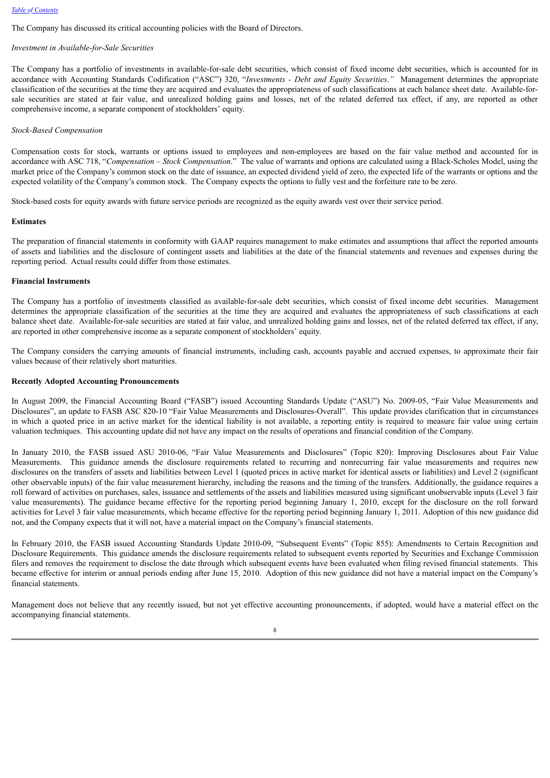The Company has discussed its critical accounting policies with the Board of Directors.

#### *Investment in Available-for-Sale Securities*

The Company has a portfolio of investments in available-for-sale debt securities, which consist of fixed income debt securities, which is accounted for in accordance with Accounting Standards Codification ("ASC") 320, "*Investments - Debt and Equity Securities*.*"* Management determines the appropriate classification of the securities at the time they are acquired and evaluates the appropriateness of such classifications at each balance sheet date. Available-forsale securities are stated at fair value, and unrealized holding gains and losses, net of the related deferred tax effect, if any, are reported as other comprehensive income, a separate component of stockholders' equity.

#### *Stock-Based Compensation*

Compensation costs for stock, warrants or options issued to employees and non-employees are based on the fair value method and accounted for in accordance with ASC 718, "*Compensation – Stock Compensation*." The value of warrants and options are calculated using a Black-Scholes Model, using the market price of the Company's common stock on the date of issuance, an expected dividend yield of zero, the expected life of the warrants or options and the expected volatility of the Company's common stock. The Company expects the options to fully vest and the forfeiture rate to be zero.

Stock-based costs for equity awards with future service periods are recognized as the equity awards vest over their service period.

#### **Estimates**

The preparation of financial statements in conformity with GAAP requires management to make estimates and assumptions that affect the reported amounts of assets and liabilities and the disclosure of contingent assets and liabilities at the date of the financial statements and revenues and expenses during the reporting period. Actual results could differ from those estimates.

#### **Financial Instruments**

The Company has a portfolio of investments classified as available-for-sale debt securities, which consist of fixed income debt securities. Management determines the appropriate classification of the securities at the time they are acquired and evaluates the appropriateness of such classifications at each balance sheet date. Available-for-sale securities are stated at fair value, and unrealized holding gains and losses, net of the related deferred tax effect, if any, are reported in other comprehensive income as a separate component of stockholders' equity.

The Company considers the carrying amounts of financial instruments, including cash, accounts payable and accrued expenses, to approximate their fair values because of their relatively short maturities.

#### **Recently Adopted Accounting Pronouncements**

In August 2009, the Financial Accounting Board ("FASB") issued Accounting Standards Update ("ASU") No. 2009-05, "Fair Value Measurements and Disclosures", an update to FASB ASC 820-10 "Fair Value Measurements and Disclosures-Overall". This update provides clarification that in circumstances in which a quoted price in an active market for the identical liability is not available, a reporting entity is required to measure fair value using certain valuation techniques. This accounting update did not have any impact on the results of operations and financial condition of the Company.

In January 2010, the FASB issued ASU 2010-06, "Fair Value Measurements and Disclosures" (Topic 820): Improving Disclosures about Fair Value Measurements. This guidance amends the disclosure requirements related to recurring and nonrecurring fair value measurements and requires new disclosures on the transfers of assets and liabilities between Level 1 (quoted prices in active market for identical assets or liabilities) and Level 2 (significant other observable inputs) of the fair value measurement hierarchy, including the reasons and the timing of the transfers. Additionally, the guidance requires a roll forward of activities on purchases, sales, issuance and settlements of the assets and liabilities measured using significant unobservable inputs (Level 3 fair value measurements). The guidance became effective for the reporting period beginning January 1, 2010, except for the disclosure on the roll forward activities for Level 3 fair value measurements, which became effective for the reporting period beginning January 1, 2011. Adoption of this new guidance did not, and the Company expects that it will not, have a material impact on the Company's financial statements.

In February 2010, the FASB issued Accounting Standards Update 2010-09, "Subsequent Events" (Topic 855): Amendments to Certain Recognition and Disclosure Requirements. This guidance amends the disclosure requirements related to subsequent events reported by Securities and Exchange Commission filers and removes the requirement to disclose the date through which subsequent events have been evaluated when filing revised financial statements. This became effective for interim or annual periods ending after June 15, 2010. Adoption of this new guidance did not have a material impact on the Company's financial statements.

Management does not believe that any recently issued, but not yet effective accounting pronouncements, if adopted, would have a material effect on the accompanying financial statements.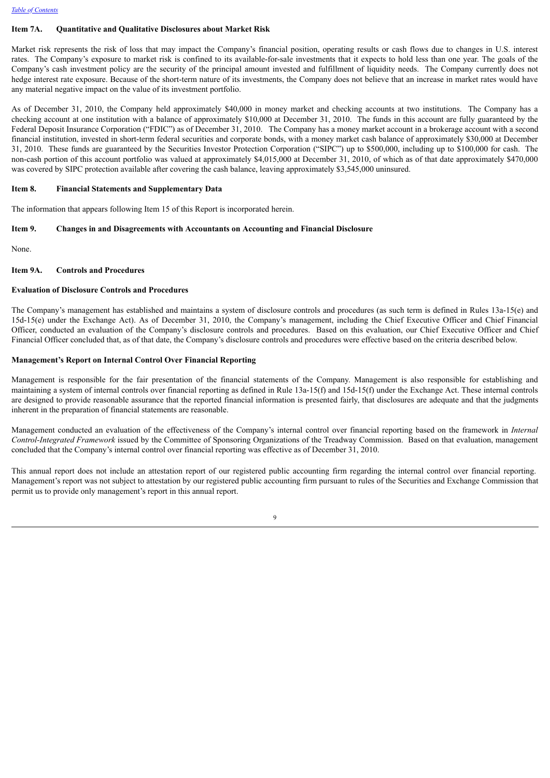#### <span id="page-8-0"></span>**Item 7A. Quantitative and Qualitative Disclosures about Market Risk**

Market risk represents the risk of loss that may impact the Company's financial position, operating results or cash flows due to changes in U.S. interest rates. The Company's exposure to market risk is confined to its available-for-sale investments that it expects to hold less than one year. The goals of the Company's cash investment policy are the security of the principal amount invested and fulfillment of liquidity needs. The Company currently does not hedge interest rate exposure. Because of the short-term nature of its investments, the Company does not believe that an increase in market rates would have any material negative impact on the value of its investment portfolio.

As of December 31, 2010, the Company held approximately \$40,000 in money market and checking accounts at two institutions. The Company has a checking account at one institution with a balance of approximately \$10,000 at December 31, 2010. The funds in this account are fully guaranteed by the Federal Deposit Insurance Corporation ("FDIC") as of December 31, 2010. The Company has a money market account in a brokerage account with a second financial institution, invested in short-term federal securities and corporate bonds, with a money market cash balance of approximately \$30,000 at December 31, 2010. These funds are guaranteed by the Securities Investor Protection Corporation ("SIPC") up to \$500,000, including up to \$100,000 for cash. The non-cash portion of this account portfolio was valued at approximately \$4,015,000 at December 31, 2010, of which as of that date approximately \$470,000 was covered by SIPC protection available after covering the cash balance, leaving approximately \$3,545,000 uninsured.

#### <span id="page-8-1"></span>**Item 8. Financial Statements and Supplementary Data**

The information that appears following Item 15 of this Report is incorporated herein.

#### <span id="page-8-2"></span>**Item 9. Changes in and Disagreements with Accountants on Accounting and Financial Disclosure**

None.

#### <span id="page-8-3"></span>**Item 9A. Controls and Procedures**

#### **Evaluation of Disclosure Controls and Procedures**

The Company's management has established and maintains a system of disclosure controls and procedures (as such term is defined in Rules 13a-15(e) and 15d-15(e) under the Exchange Act). As of December 31, 2010, the Company's management, including the Chief Executive Officer and Chief Financial Officer, conducted an evaluation of the Company's disclosure controls and procedures. Based on this evaluation, our Chief Executive Officer and Chief Financial Officer concluded that, as of that date, the Company's disclosure controls and procedures were effective based on the criteria described below.

#### **Management's Report on Internal Control Over Financial Reporting**

Management is responsible for the fair presentation of the financial statements of the Company. Management is also responsible for establishing and maintaining a system of internal controls over financial reporting as defined in Rule 13a-15(f) and 15d-15(f) under the Exchange Act. These internal controls are designed to provide reasonable assurance that the reported financial information is presented fairly, that disclosures are adequate and that the judgments inherent in the preparation of financial statements are reasonable.

Management conducted an evaluation of the effectiveness of the Company's internal control over financial reporting based on the framework in *Internal Control-Integrated Framework* issued by the Committee of Sponsoring Organizations of the Treadway Commission. Based on that evaluation, management concluded that the Company's internal control over financial reporting was effective as of December 31, 2010.

This annual report does not include an attestation report of our registered public accounting firm regarding the internal control over financial reporting. Management's report was not subject to attestation by our registered public accounting firm pursuant to rules of the Securities and Exchange Commission that permit us to provide only management's report in this annual report.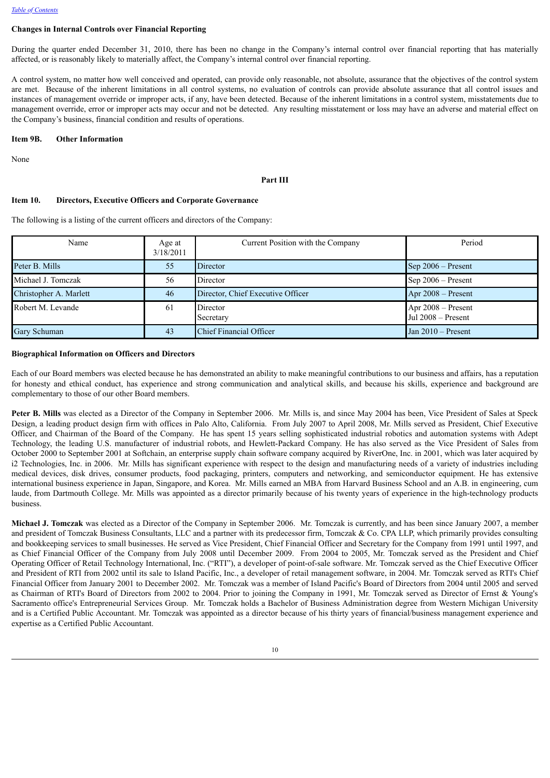## **Changes in Internal Controls over Financial Reporting**

During the quarter ended December 31, 2010, there has been no change in the Company's internal control over financial reporting that has materially affected, or is reasonably likely to materially affect, the Company's internal control over financial reporting.

A control system, no matter how well conceived and operated, can provide only reasonable, not absolute, assurance that the objectives of the control system are met. Because of the inherent limitations in all control systems, no evaluation of controls can provide absolute assurance that all control issues and instances of management override or improper acts, if any, have been detected. Because of the inherent limitations in a control system, misstatements due to management override, error or improper acts may occur and not be detected. Any resulting misstatement or loss may have an adverse and material effect on the Company's business, financial condition and results of operations.

#### <span id="page-9-0"></span>**Item 9B. Other Information**

None

## **Part III**

#### <span id="page-9-1"></span>**Item 10. Directors, Executive Officers and Corporate Governance**

The following is a listing of the current officers and directors of the Company:

| Name                   | Age at<br>3/18/2011 | Current Position with the Company | Period                                     |
|------------------------|---------------------|-----------------------------------|--------------------------------------------|
| Peter B. Mills         | 55                  | Director                          | $Sep 2006 - Present$                       |
| Michael J. Tomczak     | 56                  | Director                          | $Sep 2006 - Present$                       |
| Christopher A. Marlett | 46                  | Director, Chief Executive Officer | Apr $2008$ – Present                       |
| Robert M. Levande      | 61                  | Director<br>Secretary             | Apr 2008 - Present<br>Jul $2008 -$ Present |
| Gary Schuman           | 43                  | <b>Chief Financial Officer</b>    | Jan $2010$ – Present                       |

#### **Biographical Information on Officers and Directors**

Each of our Board members was elected because he has demonstrated an ability to make meaningful contributions to our business and affairs, has a reputation for honesty and ethical conduct, has experience and strong communication and analytical skills, and because his skills, experience and background are complementary to those of our other Board members.

**Peter B. Mills** was elected as a Director of the Company in September 2006. Mr. Mills is, and since May 2004 has been, Vice President of Sales at Speck Design, a leading product design firm with offices in Palo Alto, California. From July 2007 to April 2008, Mr. Mills served as President, Chief Executive Officer, and Chairman of the Board of the Company. He has spent 15 years selling sophisticated industrial robotics and automation systems with Adept Technology, the leading U.S. manufacturer of industrial robots, and Hewlett-Packard Company. He has also served as the Vice President of Sales from October 2000 to September 2001 at Softchain, an enterprise supply chain software company acquired by RiverOne, Inc. in 2001, which was later acquired by i2 Technologies, Inc. in 2006. Mr. Mills has significant experience with respect to the design and manufacturing needs of a variety of industries including medical devices, disk drives, consumer products, food packaging, printers, computers and networking, and semiconductor equipment. He has extensive international business experience in Japan, Singapore, and Korea. Mr. Mills earned an MBA from Harvard Business School and an A.B. in engineering, cum laude, from Dartmouth College. Mr. Mills was appointed as a director primarily because of his twenty years of experience in the high-technology products business.

**Michael J. Tomczak** was elected as a Director of the Company in September 2006. Mr. Tomczak is currently, and has been since January 2007, a member and president of Tomczak Business Consultants, LLC and a partner with its predecessor firm, Tomczak & Co. CPA LLP, which primarily provides consulting and bookkeeping services to small businesses. He served as Vice President, Chief Financial Officer and Secretary for the Company from 1991 until 1997, and as Chief Financial Officer of the Company from July 2008 until December 2009. From 2004 to 2005, Mr. Tomczak served as the President and Chief Operating Officer of Retail Technology International, Inc. ("RTI"), a developer of point-of-sale software. Mr. Tomczak served as the Chief Executive Officer and President of RTI from 2002 until its sale to Island Pacific, Inc., a developer of retail management software, in 2004. Mr. Tomczak served as RTI's Chief Financial Officer from January 2001 to December 2002. Mr. Tomczak was a member of Island Pacific's Board of Directors from 2004 until 2005 and served as Chairman of RTI's Board of Directors from 2002 to 2004. Prior to joining the Company in 1991, Mr. Tomczak served as Director of Ernst & Young's Sacramento office's Entrepreneurial Services Group. Mr. Tomczak holds a Bachelor of Business Administration degree from Western Michigan University and is a Certified Public Accountant. Mr. Tomczak was appointed as a director because of his thirty years of financial/business management experience and expertise as a Certified Public Accountant.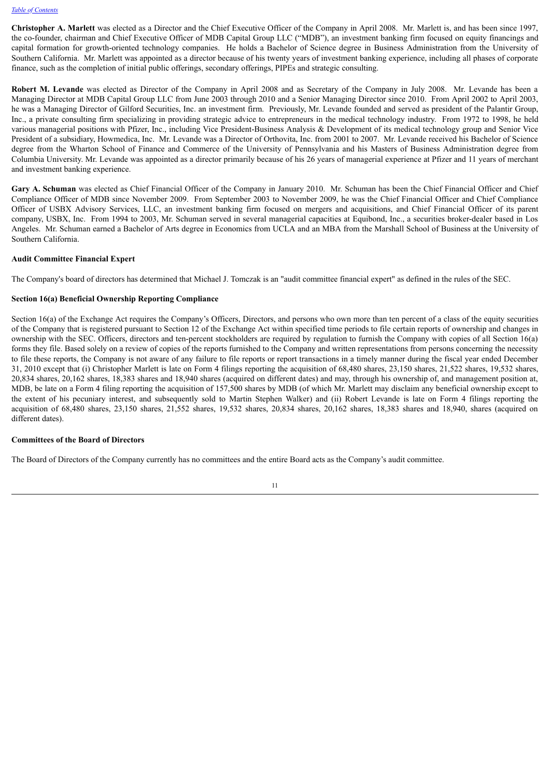**Christopher A. Marlett** was elected as a Director and the Chief Executive Officer of the Company in April 2008. Mr. Marlett is, and has been since 1997, the co-founder, chairman and Chief Executive Officer of MDB Capital Group LLC ("MDB"), an investment banking firm focused on equity financings and capital formation for growth-oriented technology companies. He holds a Bachelor of Science degree in Business Administration from the University of Southern California. Mr. Marlett was appointed as a director because of his twenty years of investment banking experience, including all phases of corporate finance, such as the completion of initial public offerings, secondary offerings, PIPEs and strategic consulting.

**Robert M. Levande** was elected as Director of the Company in April 2008 and as Secretary of the Company in July 2008. Mr. Levande has been a Managing Director at MDB Capital Group LLC from June 2003 through 2010 and a Senior Managing Director since 2010. From April 2002 to April 2003, he was a Managing Director of Gilford Securities, Inc. an investment firm. Previously, Mr. Levande founded and served as president of the Palantir Group, Inc., a private consulting firm specializing in providing strategic advice to entrepreneurs in the medical technology industry. From 1972 to 1998, he held various managerial positions with Pfizer, Inc., including Vice President-Business Analysis & Development of its medical technology group and Senior Vice President of a subsidiary, Howmedica, Inc. Mr. Levande was a Director of Orthovita, Inc. from 2001 to 2007. Mr. Levande received his Bachelor of Science degree from the Wharton School of Finance and Commerce of the University of Pennsylvania and his Masters of Business Administration degree from Columbia University. Mr. Levande was appointed as a director primarily because of his 26 years of managerial experience at Pfizer and 11 years of merchant and investment banking experience.

**Gary A. Schuman** was elected as Chief Financial Officer of the Company in January 2010. Mr. Schuman has been the Chief Financial Officer and Chief Compliance Officer of MDB since November 2009. From September 2003 to November 2009, he was the Chief Financial Officer and Chief Compliance Officer of USBX Advisory Services, LLC, an investment banking firm focused on mergers and acquisitions, and Chief Financial Officer of its parent company, USBX, Inc. From 1994 to 2003, Mr. Schuman served in several managerial capacities at Equibond, Inc., a securities broker-dealer based in Los Angeles. Mr. Schuman earned a Bachelor of Arts degree in Economics from UCLA and an MBA from the Marshall School of Business at the University of Southern California.

#### **Audit Committee Financial Expert**

The Company's board of directors has determined that Michael J. Tomczak is an "audit committee financial expert" as defined in the rules of the SEC.

#### **Section 16(a) Beneficial Ownership Reporting Compliance**

Section 16(a) of the Exchange Act requires the Company's Officers, Directors, and persons who own more than ten percent of a class of the equity securities of the Company that is registered pursuant to Section 12 of the Exchange Act within specified time periods to file certain reports of ownership and changes in ownership with the SEC. Officers, directors and ten-percent stockholders are required by regulation to furnish the Company with copies of all Section 16(a) forms they file. Based solely on a review of copies of the reports furnished to the Company and written representations from persons concerning the necessity to file these reports, the Company is not aware of any failure to file reports or report transactions in a timely manner during the fiscal year ended December 31, 2010 except that (i) Christopher Marlett is late on Form 4 filings reporting the acquisition of 68,480 shares, 23,150 shares, 21,522 shares, 19,532 shares, 20,834 shares, 20,162 shares, 18,383 shares and 18,940 shares (acquired on different dates) and may, through his ownership of, and management position at, MDB, be late on a Form 4 filing reporting the acquisition of 157,500 shares by MDB (of which Mr. Marlett may disclaim any beneficial ownership except to the extent of his pecuniary interest, and subsequently sold to Martin Stephen Walker) and (ii) Robert Levande is late on Form 4 filings reporting the acquisition of 68,480 shares, 23,150 shares, 21,552 shares, 19,532 shares, 20,834 shares, 20,162 shares, 18,383 shares and 18,940, shares (acquired on different dates).

#### **Committees of the Board of Directors**

The Board of Directors of the Company currently has no committees and the entire Board acts as the Company's audit committee.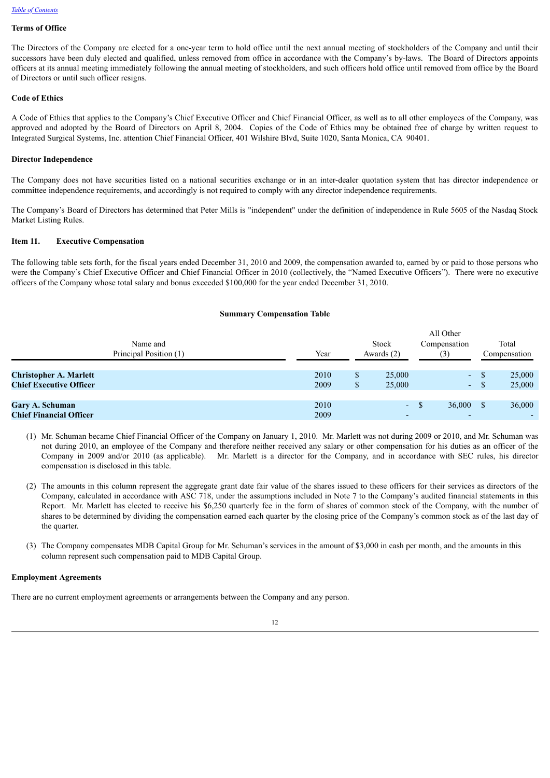#### **Terms of Office**

The Directors of the Company are elected for a one-year term to hold office until the next annual meeting of stockholders of the Company and until their successors have been duly elected and qualified, unless removed from office in accordance with the Company's by-laws. The Board of Directors appoints officers at its annual meeting immediately following the annual meeting of stockholders, and such officers hold office until removed from office by the Board of Directors or until such officer resigns.

#### **Code of Ethics**

A Code of Ethics that applies to the Company's Chief Executive Officer and Chief Financial Officer, as well as to all other employees of the Company, was approved and adopted by the Board of Directors on April 8, 2004. Copies of the Code of Ethics may be obtained free of charge by written request to Integrated Surgical Systems, Inc. attention Chief Financial Officer, 401 Wilshire Blvd, Suite 1020, Santa Monica, CA 90401.

#### **Director Independence**

The Company does not have securities listed on a national securities exchange or in an inter-dealer quotation system that has director independence or committee independence requirements, and accordingly is not required to comply with any director independence requirements.

The Company's Board of Directors has determined that Peter Mills is "independent" under the definition of independence in Rule 5605 of the Nasdaq Stock Market Listing Rules.

## <span id="page-11-0"></span>**Item 11. Executive Compensation**

The following table sets forth, for the fiscal years ended December 31, 2010 and 2009, the compensation awarded to, earned by or paid to those persons who were the Company's Chief Executive Officer and Chief Financial Officer in 2010 (collectively, the "Named Executive Officers"). There were no executive officers of the Company whose total salary and bonus exceeded \$100,000 for the year ended December 31, 2010.

#### **Summary Compensation Table**

| Name and<br>Principal Position (1)                              | Year         |        | <b>Stock</b><br>Awards $(2)$               |     | All Other<br>Compensation<br>(3) | Total<br>Compensation |
|-----------------------------------------------------------------|--------------|--------|--------------------------------------------|-----|----------------------------------|-----------------------|
| <b>Christopher A. Marlett</b><br><b>Chief Executive Officer</b> | 2010<br>2009 | S<br>S | 25,000<br>25,000                           |     | ÷.<br>$\sim$                     | 25,000<br>25,000      |
| <b>Gary A. Schuman</b><br><b>Chief Financial Officer</b>        | 2010<br>2009 |        | $\blacksquare$<br>$\overline{\phantom{0}}$ | -SI | 36,000<br>-                      | 36,000                |

- (1) Mr. Schuman became Chief Financial Officer of the Company on January 1, 2010. Mr. Marlett was not during 2009 or 2010, and Mr. Schuman was not during 2010, an employee of the Company and therefore neither received any salary or other compensation for his duties as an officer of the Company in 2009 and/or 2010 (as applicable). Mr. Marlett is a director for the Company, and in accordance with SEC rules, his director compensation is disclosed in this table.
- (2) The amounts in this column represent the aggregate grant date fair value of the shares issued to these officers for their services as directors of the Company, calculated in accordance with ASC 718, under the assumptions included in Note 7 to the Company's audited financial statements in this Report. Mr. Marlett has elected to receive his \$6,250 quarterly fee in the form of shares of common stock of the Company, with the number of shares to be determined by dividing the compensation earned each quarter by the closing price of the Company's common stock as of the last day of the quarter.
- (3) The Company compensates MDB Capital Group for Mr. Schuman's services in the amount of \$3,000 in cash per month, and the amounts in this column represent such compensation paid to MDB Capital Group.

#### **Employment Agreements**

There are no current employment agreements or arrangements between the Company and any person.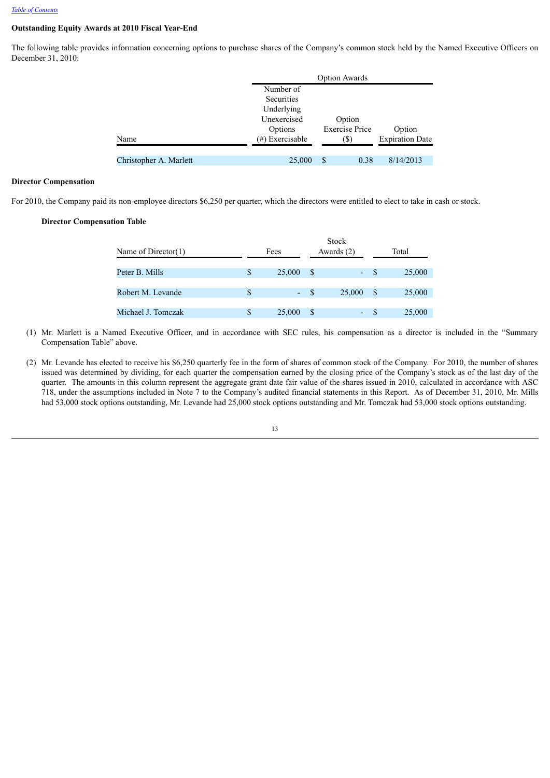## **Outstanding Equity Awards at 2010 Fiscal Year-End**

The following table provides information concerning options to purchase shares of the Company's common stock held by the Named Executive Officers on December 31, 2010:

|                        | <b>Option Awards</b> |                       |                        |  |
|------------------------|----------------------|-----------------------|------------------------|--|
|                        | Number of            |                       |                        |  |
|                        | <b>Securities</b>    |                       |                        |  |
|                        | Underlying           |                       |                        |  |
|                        | Unexercised          | Option                |                        |  |
|                        | Options              | <b>Exercise Price</b> | Option                 |  |
| Name                   | $(\#)$ Exercisable   | (\$)                  | <b>Expiration Date</b> |  |
|                        |                      |                       |                        |  |
| Christopher A. Marlett | 25,000               | 0.38<br>S             | 8/14/2013              |  |

#### **Director Compensation**

For 2010, the Company paid its non-employee directors \$6,250 per quarter, which the directors were entitled to elect to take in cash or stock.

#### **Director Compensation Table**

| Name of Director $(1)$ |               | Fees                     |              | <b>Stock</b><br>Awards $(2)$ |   | Total  |
|------------------------|---------------|--------------------------|--------------|------------------------------|---|--------|
| Peter B. Mills         | S             | 25,000                   | -S           |                              | S | 25,000 |
| Robert M. Levande      | S             | $\overline{\phantom{a}}$ | - \$         | 25,000                       | S | 25,000 |
| Michael J. Tomczak     | <sup>\$</sup> | 25,000                   | <sup>S</sup> |                              | S | 25,000 |

- (1) Mr. Marlett is a Named Executive Officer, and in accordance with SEC rules, his compensation as a director is included in the "Summary Compensation Table" above.
- (2) Mr. Levande has elected to receive his \$6,250 quarterly fee in the form of shares of common stock of the Company. For 2010, the number of shares issued was determined by dividing, for each quarter the compensation earned by the closing price of the Company's stock as of the last day of the quarter. The amounts in this column represent the aggregate grant date fair value of the shares issued in 2010, calculated in accordance with ASC 718, under the assumptions included in Note 7 to the Company's audited financial statements in this Report. As of December 31, 2010, Mr. Mills had 53,000 stock options outstanding, Mr. Levande had 25,000 stock options outstanding and Mr. Tomczak had 53,000 stock options outstanding.

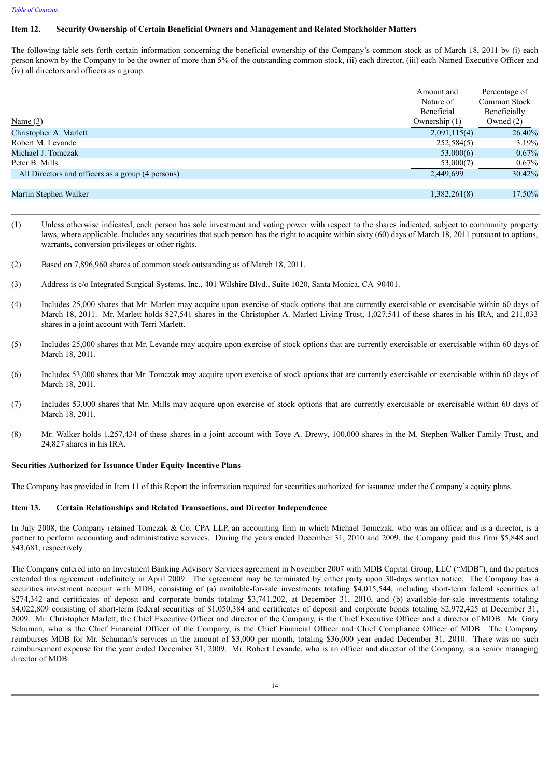#### <span id="page-13-0"></span>**Item 12. Security Ownership of Certain Beneficial Owners and Management and Related Stockholder Matters**

The following table sets forth certain information concerning the beneficial ownership of the Company's common stock as of March 18, 2011 by (i) each person known by the Company to be the owner of more than 5% of the outstanding common stock, (ii) each director, (iii) each Named Executive Officer and (iv) all directors and officers as a group.

|                                                   | Amount and      | Percentage of |
|---------------------------------------------------|-----------------|---------------|
|                                                   | Nature of       | Common Stock  |
|                                                   | Beneficial      | Beneficially  |
| Name(3)                                           | Ownership $(1)$ | Owned $(2)$   |
| Christopher A. Marlett                            | 2,091,115(4)    | 26.40%        |
| Robert M. Levande                                 | 252,584(5)      | 3.19%         |
| Michael J. Tomczak                                | 53,000(6)       | 0.67%         |
| Peter B. Mills                                    | 53,000(7)       | 0.67%         |
| All Directors and officers as a group (4 persons) | 2,449,699       | 30.42%        |
|                                                   |                 |               |
| Martin Stephen Walker                             | 1,382,261(8)    | 17.50%        |
|                                                   |                 |               |

- (1) Unless otherwise indicated, each person has sole investment and voting power with respect to the shares indicated, subject to community property laws, where applicable. Includes any securities that such person has the right to acquire within sixty (60) days of March 18, 2011 pursuant to options, warrants, conversion privileges or other rights.
- (2) Based on 7,896,960 shares of common stock outstanding as of March 18, 2011.
- (3) Address is c/o Integrated Surgical Systems, Inc., 401 Wilshire Blvd., Suite 1020, Santa Monica, CA 90401.
- (4) Includes 25,000 shares that Mr. Marlett may acquire upon exercise of stock options that are currently exercisable or exercisable within 60 days of March 18, 2011. Mr. Marlett holds 827,541 shares in the Christopher A. Marlett Living Trust, 1,027,541 of these shares in his IRA, and 211,033 shares in a joint account with Terri Marlett.
- (5) Includes 25,000 shares that Mr. Levande may acquire upon exercise of stock options that are currently exercisable or exercisable within 60 days of March 18, 2011.
- (6) Includes 53,000 shares that Mr. Tomczak may acquire upon exercise of stock options that are currently exercisable or exercisable within 60 days of March 18, 2011.
- (7) Includes 53,000 shares that Mr. Mills may acquire upon exercise of stock options that are currently exercisable or exercisable within 60 days of March 18, 2011.
- (8) Mr. Walker holds 1,257,434 of these shares in a joint account with Toye A. Drewy, 100,000 shares in the M. Stephen Walker Family Trust, and 24,827 shares in his IRA.

#### **Securities Authorized for Issuance Under Equity Incentive Plans**

The Company has provided in Item 11 of this Report the information required for securities authorized for issuance under the Company's equity plans.

#### <span id="page-13-1"></span>**Item 13. Certain Relationships and Related Transactions, and Director Independence**

In July 2008, the Company retained Tomczak & Co. CPA LLP, an accounting firm in which Michael Tomczak, who was an officer and is a director, is a partner to perform accounting and administrative services. During the years ended December 31, 2010 and 2009, the Company paid this firm \$5,848 and \$43,681, respectively.

The Company entered into an Investment Banking Advisory Services agreement in November 2007 with MDB Capital Group, LLC ("MDB"), and the parties extended this agreement indefinitely in April 2009. The agreement may be terminated by either party upon 30-days written notice. The Company has a securities investment account with MDB, consisting of (a) available-for-sale investments totaling \$4,015,544, including short-term federal securities of \$274,342 and certificates of deposit and corporate bonds totaling \$3,741,202, at December 31, 2010, and (b) available-for-sale investments totaling \$4,022,809 consisting of short-term federal securities of \$1,050,384 and certificates of deposit and corporate bonds totaling \$2,972,425 at December 31, 2009. Mr. Christopher Marlett, the Chief Executive Officer and director of the Company, is the Chief Executive Officer and a director of MDB. Mr. Gary Schuman, who is the Chief Financial Officer of the Company, is the Chief Financial Officer and Chief Compliance Officer of MDB. The Company reimburses MDB for Mr. Schuman's services in the amount of \$3,000 per month, totaling \$36,000 year ended December 31, 2010. There was no such reimbursement expense for the year ended December 31, 2009. Mr. Robert Levande, who is an officer and director of the Company, is a senior managing director of MDB.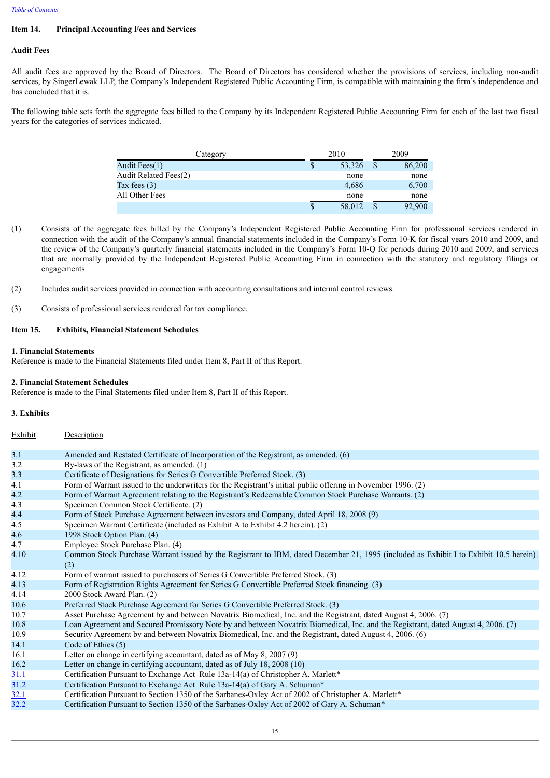#### *Table of [Contents](#page-1-0)*

## <span id="page-14-0"></span>**Item 14. Principal Accounting Fees and Services**

#### **Audit Fees**

All audit fees are approved by the Board of Directors. The Board of Directors has considered whether the provisions of services, including non-audit services, by SingerLewak LLP, the Company's Independent Registered Public Accounting Firm, is compatible with maintaining the firm's independence and has concluded that it is.

The following table sets forth the aggregate fees billed to the Company by its Independent Registered Public Accounting Firm for each of the last two fiscal years for the categories of services indicated.

| Category              |   | 2010   |   | 2009   |
|-----------------------|---|--------|---|--------|
| Audit Fees $(1)$      | J | 53,326 | S | 86,200 |
| Audit Related Fees(2) |   | none   |   | none   |
| Tax fees $(3)$        |   | 4,686  |   | 6,700  |
| All Other Fees        |   | none   |   | none   |
|                       | S | 58,012 | S | 92,900 |

- (1) Consists of the aggregate fees billed by the Company's Independent Registered Public Accounting Firm for professional services rendered in connection with the audit of the Company's annual financial statements included in the Company's Form 10-K for fiscal years 2010 and 2009, and the review of the Company's quarterly financial statements included in the Company's Form 10-Q for periods during 2010 and 2009, and services that are normally provided by the Independent Registered Public Accounting Firm in connection with the statutory and regulatory filings or engagements.
- (2) Includes audit services provided in connection with accounting consultations and internal control reviews.
- (3) Consists of professional services rendered for tax compliance.

## <span id="page-14-1"></span>**Item 15. Exhibits, Financial Statement Schedules**

## **1. Financial Statements**

Reference is made to the Financial Statements filed under Item 8, Part II of this Report.

## **2. Financial Statement Schedules**

Reference is made to the Final Statements filed under Item 8, Part II of this Report.

#### **3. Exhibits**

| Description                                                                                                                            |
|----------------------------------------------------------------------------------------------------------------------------------------|
|                                                                                                                                        |
| Amended and Restated Certificate of Incorporation of the Registrant, as amended. (6)                                                   |
| By-laws of the Registrant, as amended. (1)                                                                                             |
| Certificate of Designations for Series G Convertible Preferred Stock. (3)                                                              |
| Form of Warrant issued to the underwriters for the Registrant's initial public offering in November 1996. (2)                          |
| Form of Warrant Agreement relating to the Registrant's Redeemable Common Stock Purchase Warrants. (2)                                  |
| Specimen Common Stock Certificate. (2)                                                                                                 |
| Form of Stock Purchase Agreement between investors and Company, dated April 18, 2008 (9)                                               |
| Specimen Warrant Certificate (included as Exhibit A to Exhibit 4.2 herein). (2)                                                        |
| 1998 Stock Option Plan. (4)                                                                                                            |
| Employee Stock Purchase Plan. (4)                                                                                                      |
| Common Stock Purchase Warrant issued by the Registrant to IBM, dated December 21, 1995 (included as Exhibit I to Exhibit 10.5 herein). |
| (2)                                                                                                                                    |
| Form of warrant issued to purchasers of Series G Convertible Preferred Stock. (3)                                                      |
| Form of Registration Rights Agreement for Series G Convertible Preferred Stock financing. (3)                                          |
| 2000 Stock Award Plan. (2)                                                                                                             |
| Preferred Stock Purchase Agreement for Series G Convertible Preferred Stock. (3)                                                       |
| Asset Purchase Agreement by and between Novatrix Biomedical, Inc. and the Registrant, dated August 4, 2006. (7)                        |
| Loan Agreement and Secured Promissory Note by and between Novatrix Biomedical, Inc. and the Registrant, dated August 4, 2006. (7)      |
| Security Agreement by and between Novatrix Biomedical, Inc. and the Registrant, dated August 4, 2006. (6)                              |
| Code of Ethics (5)                                                                                                                     |
| Letter on change in certifying accountant, dated as of May 8, 2007 (9)                                                                 |
| Letter on change in certifying accountant, dated as of July 18, 2008 (10)                                                              |
| Certification Pursuant to Exchange Act Rule 13a-14(a) of Christopher A. Marlett*                                                       |
| Certification Pursuant to Exchange Act Rule 13a-14(a) of Gary A. Schuman*                                                              |
| Certification Pursuant to Section 1350 of the Sarbanes-Oxley Act of 2002 of Christopher A. Marlett*                                    |
| Certification Pursuant to Section 1350 of the Sarbanes-Oxley Act of 2002 of Gary A. Schuman*                                           |
|                                                                                                                                        |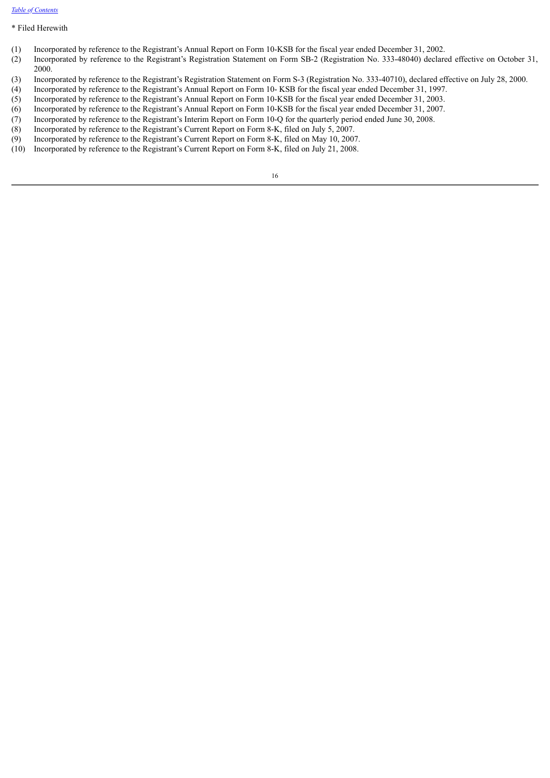#### *Table of [Contents](#page-1-0)*

\* Filed Herewith

- (1) Incorporated by reference to the Registrant's Annual Report on Form 10-KSB for the fiscal year ended December 31, 2002.
- (2) Incorporated by reference to the Registrant's Registration Statement on Form SB-2 (Registration No. 333-48040) declared effective on October 31, 2000.
- (3) Incorporated by reference to the Registrant's Registration Statement on Form S-3 (Registration No. 333-40710), declared effective on July 28, 2000.
- (4) Incorporated by reference to the Registrant's Annual Report on Form 10-KSB for the fiscal year ended December 31, 1997.<br>(5) Incorporated by reference to the Registrant's Annual Report on Form 10-KSB for the fiscal year
- Incorporated by reference to the Registrant's Annual Report on Form 10-KSB for the fiscal year ended December 31, 2003.
- (6) Incorporated by reference to the Registrant's Annual Report on Form 10-KSB for the fiscal year ended December 31, 2007.
- (7) Incorporated by reference to the Registrant's Interim Report on Form 10-Q for the quarterly period ended June 30, 2008.
- (8) Incorporated by reference to the Registrant's Current Report on Form 8-K, filed on July 5, 2007.
- (9) Incorporated by reference to the Registrant's Current Report on Form 8-K, filed on May 10, 2007.<br>(10) Incorporated by reference to the Registrant's Current Report on Form 8-K, filed on July 21, 2008.
- Incorporated by reference to the Registrant's Current Report on Form 8-K, filed on July 21, 2008.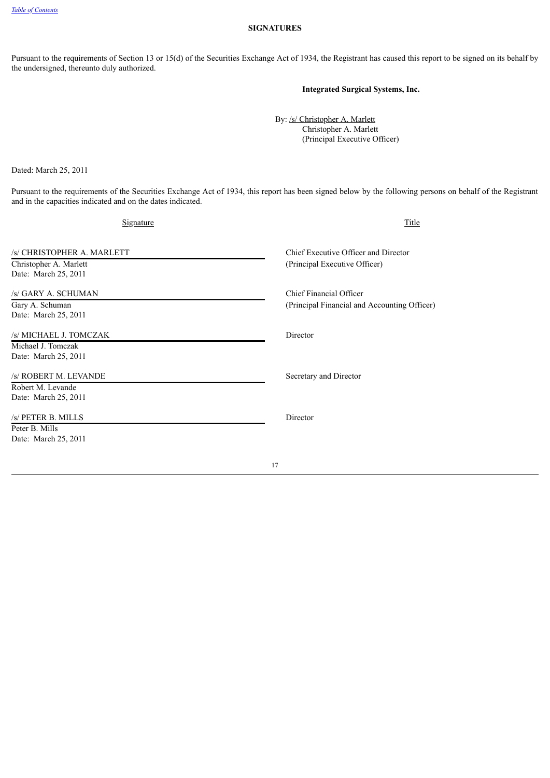## <span id="page-16-0"></span>**SIGNATURES**

Pursuant to the requirements of Section 13 or 15(d) of the Securities Exchange Act of 1934, the Registrant has caused this report to be signed on its behalf by the undersigned, thereunto duly authorized.

## **Integrated Surgical Systems, Inc.**

By: /s/ Christopher A. Marlett Christopher A. Marlett (Principal Executive Officer)

Dated: March 25, 2011

Pursuant to the requirements of the Securities Exchange Act of 1934, this report has been signed below by the following persons on behalf of the Registrant and in the capacities indicated and on the dates indicated.

Signature Title

| /s/ CHRISTOPHER A. MARLETT | Chief Executive Officer and Director         |
|----------------------------|----------------------------------------------|
| Christopher A. Marlett     | (Principal Executive Officer)                |
| Date: March 25, 2011       |                                              |
| /s/ GARY A. SCHUMAN        | Chief Financial Officer                      |
| Gary A. Schuman            | (Principal Financial and Accounting Officer) |
| Date: March 25, 2011       |                                              |
| /s/ MICHAEL J. TOMCZAK     | Director                                     |
| Michael J. Tomczak         |                                              |
| Date: March 25, 2011       |                                              |
| /s/ ROBERT M. LEVANDE      | Secretary and Director                       |
| Robert M. Levande          |                                              |
| Date: March 25, 2011       |                                              |
| /s/ PETER B. MILLS         | Director                                     |
| Peter B. Mills             |                                              |
| Date: March 25, 2011       |                                              |
|                            |                                              |
|                            | 17                                           |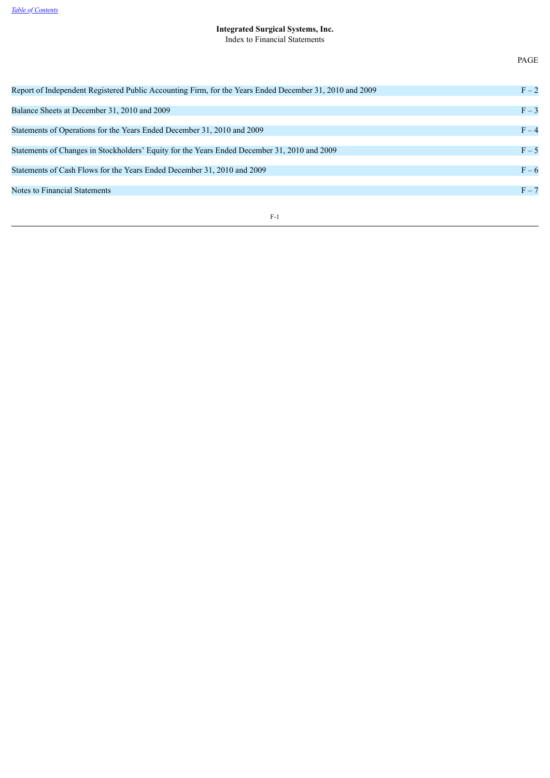## **Integrated Surgical Systems, Inc.** Index to Financial Statements

PAGE

| Report of Independent Registered Public Accounting Firm, for the Years Ended December 31, 2010 and 2009 | $F - 2$ |
|---------------------------------------------------------------------------------------------------------|---------|
|                                                                                                         |         |
| Balance Sheets at December 31, 2010 and 2009                                                            | $F-3$   |
|                                                                                                         |         |
| Statements of Operations for the Years Ended December 31, 2010 and 2009                                 | $F - 4$ |
|                                                                                                         |         |
| Statements of Changes in Stockholders' Equity for the Years Ended December 31, 2010 and 2009            | $F - 5$ |
|                                                                                                         |         |
| Statements of Cash Flows for the Years Ended December 31, 2010 and 2009                                 | $F - 6$ |
|                                                                                                         |         |
| Notes to Financial Statements                                                                           | $F - 7$ |
|                                                                                                         |         |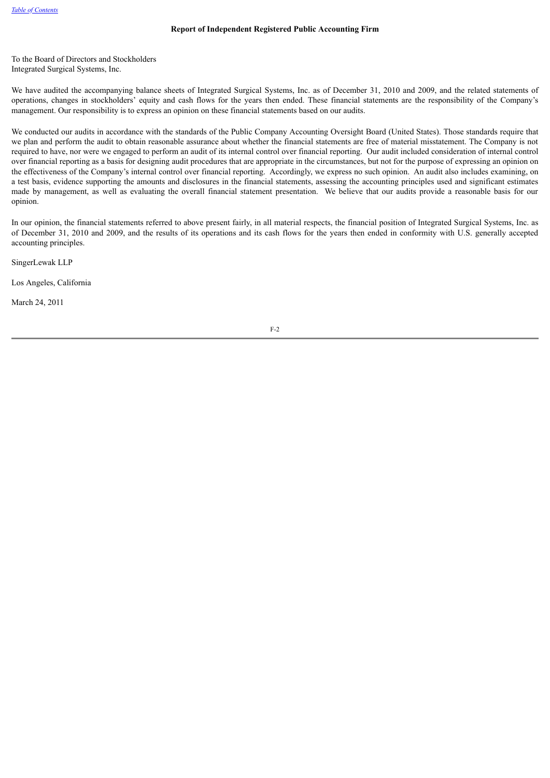## **Report of Independent Registered Public Accounting Firm**

To the Board of Directors and Stockholders Integrated Surgical Systems, Inc.

We have audited the accompanying balance sheets of Integrated Surgical Systems, Inc. as of December 31, 2010 and 2009, and the related statements of operations, changes in stockholders' equity and cash flows for the years then ended. These financial statements are the responsibility of the Company's management. Our responsibility is to express an opinion on these financial statements based on our audits.

We conducted our audits in accordance with the standards of the Public Company Accounting Oversight Board (United States). Those standards require that we plan and perform the audit to obtain reasonable assurance about whether the financial statements are free of material misstatement. The Company is not required to have, nor were we engaged to perform an audit of its internal control over financial reporting. Our audit included consideration of internal control over financial reporting as a basis for designing audit procedures that are appropriate in the circumstances, but not for the purpose of expressing an opinion on the effectiveness of the Company's internal control over financial reporting. Accordingly, we express no such opinion. An audit also includes examining, on a test basis, evidence supporting the amounts and disclosures in the financial statements, assessing the accounting principles used and significant estimates made by management, as well as evaluating the overall financial statement presentation. We believe that our audits provide a reasonable basis for our opinion.

In our opinion, the financial statements referred to above present fairly, in all material respects, the financial position of Integrated Surgical Systems, Inc. as of December 31, 2010 and 2009, and the results of its operations and its cash flows for the years then ended in conformity with U.S. generally accepted accounting principles.

SingerLewak LLP

Los Angeles, California

March 24, 2011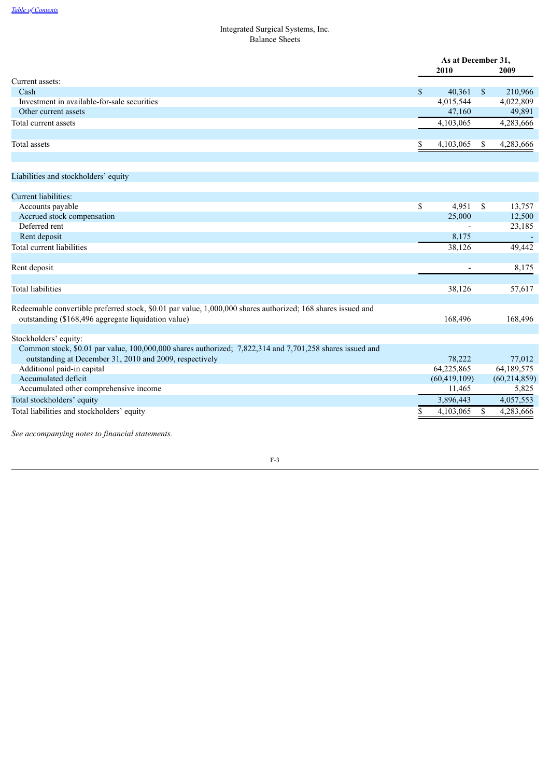## Integrated Surgical Systems, Inc. Balance Sheets

|                                                                                                                                                                     |              | As at December 31,<br>2010 |                    | 2009           |
|---------------------------------------------------------------------------------------------------------------------------------------------------------------------|--------------|----------------------------|--------------------|----------------|
| Current assets:                                                                                                                                                     |              |                            |                    |                |
| Cash                                                                                                                                                                | $\mathbb{S}$ | 40,361                     | $\mathbf{\hat{S}}$ | 210,966        |
| Investment in available-for-sale securities                                                                                                                         |              | 4,015,544                  |                    | 4,022,809      |
| Other current assets                                                                                                                                                |              | 47,160                     |                    | 49,891         |
| Total current assets                                                                                                                                                |              | 4,103,065                  |                    | 4,283,666      |
| <b>Total</b> assets                                                                                                                                                 |              | 4,103,065                  | <sup>\$</sup>      | 4,283,666      |
| Liabilities and stockholders' equity                                                                                                                                |              |                            |                    |                |
| Current liabilities:                                                                                                                                                |              |                            |                    |                |
| Accounts payable                                                                                                                                                    | \$           | 4,951                      | - \$               | 13,757         |
| Accrued stock compensation                                                                                                                                          |              | 25,000                     |                    | 12,500         |
| Deferred rent                                                                                                                                                       |              |                            |                    | 23,185         |
| Rent deposit                                                                                                                                                        |              | 8,175                      |                    |                |
| Total current liabilities                                                                                                                                           |              | 38,126                     |                    | 49,442         |
| Rent deposit                                                                                                                                                        |              |                            |                    | 8,175          |
| <b>Total liabilities</b>                                                                                                                                            |              | 38,126                     |                    | 57,617         |
| Redeemable convertible preferred stock, \$0.01 par value, 1,000,000 shares authorized; 168 shares issued and<br>outstanding (\$168,496 aggregate liquidation value) |              | 168,496                    |                    | 168,496        |
| Stockholders' equity:                                                                                                                                               |              |                            |                    |                |
| Common stock, \$0.01 par value, 100,000,000 shares authorized; 7,822,314 and 7,701,258 shares issued and<br>outstanding at December 31, 2010 and 2009, respectively |              | 78,222                     |                    | 77,012         |
| Additional paid-in capital                                                                                                                                          |              | 64,225,865                 |                    | 64,189,575     |
| Accumulated deficit                                                                                                                                                 |              | (60, 419, 109)             |                    | (60, 214, 859) |
| Accumulated other comprehensive income                                                                                                                              |              | 11,465                     |                    | 5,825          |
| Total stockholders' equity                                                                                                                                          |              | 3,896,443                  |                    | 4,057,553      |
| Total liabilities and stockholders' equity                                                                                                                          |              | 4,103,065                  | <sup>\$</sup>      | 4,283,666      |
| See accompanying notes to financial statements.                                                                                                                     |              |                            |                    |                |

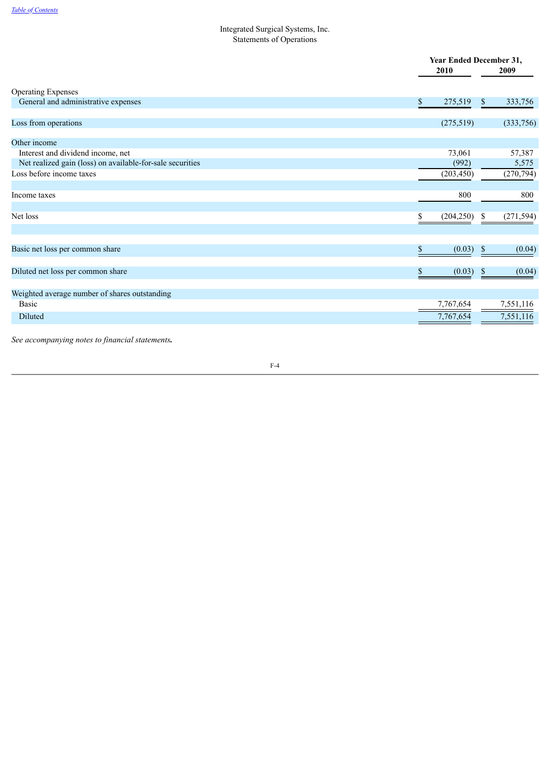## Integrated Surgical Systems, Inc. Statements of Operations

|                                                           |               | <b>Year Ended December 31,</b><br>2010 | 2009          |            |
|-----------------------------------------------------------|---------------|----------------------------------------|---------------|------------|
| <b>Operating Expenses</b>                                 |               |                                        |               |            |
| General and administrative expenses                       | \$            | 275,519                                | $\mathbb{S}$  | 333,756    |
| Loss from operations                                      |               | (275,519)                              |               | (333,756)  |
| Other income                                              |               |                                        |               |            |
| Interest and dividend income, net                         |               | 73,061                                 |               | 57,387     |
| Net realized gain (loss) on available-for-sale securities |               | (992)                                  |               | 5,575      |
| Loss before income taxes                                  |               | (203, 450)                             |               | (270, 794) |
| Income taxes                                              |               | 800                                    |               | 800        |
| Net loss                                                  | S             | (204, 250)                             | S.            | (271, 594) |
| Basic net loss per common share                           | $\mathbf{s}$  | (0.03)                                 | <sup>\$</sup> | (0.04)     |
| Diluted net loss per common share                         | <sup>\$</sup> | (0.03)                                 | <sup>\$</sup> | (0.04)     |
| Weighted average number of shares outstanding             |               |                                        |               |            |
| <b>Basic</b>                                              |               | 7,767,654                              |               | 7,551,116  |
| Diluted                                                   |               | 7,767,654                              |               | 7,551,116  |

*See accompanying notes to financial statements.*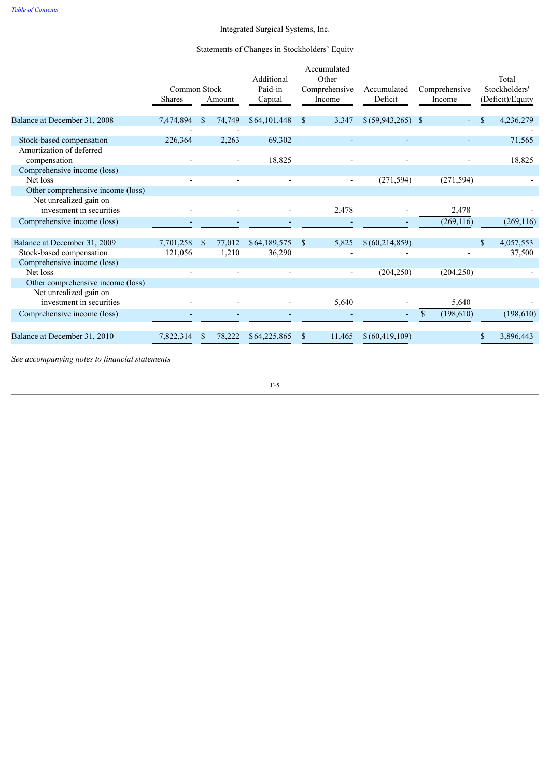## Integrated Surgical Systems, Inc.

## Statements of Changes in Stockholders' Equity

|                                                          | Common Stock<br>Shares |               | Amount                   | Additional<br>Paid-in<br>Capital |               | Accumulated<br>Other<br>Comprehensive<br>Income | Accumulated<br>Deficit |   | Comprehensive<br>Income | Total<br>Stockholders'<br>(Deficit)/Equity |
|----------------------------------------------------------|------------------------|---------------|--------------------------|----------------------------------|---------------|-------------------------------------------------|------------------------|---|-------------------------|--------------------------------------------|
| Balance at December 31, 2008                             | 7,474,894              | <sup>\$</sup> | 74,749                   | \$64,101,448                     | S             | 3,347                                           | $$(59,943,265)$ \;     |   | ÷.                      | \$<br>4,236,279                            |
| Stock-based compensation<br>Amortization of deferred     | 226,364                |               | 2,263                    | 69,302                           |               |                                                 |                        |   |                         | 71,565                                     |
| compensation                                             |                        |               | $\overline{\phantom{a}}$ | 18,825                           |               |                                                 |                        |   |                         | 18,825                                     |
| Comprehensive income (loss)<br>Net loss                  |                        |               |                          |                                  |               | $\overline{\phantom{a}}$                        | (271, 594)             |   | (271, 594)              |                                            |
| Other comprehensive income (loss)                        |                        |               |                          |                                  |               |                                                 |                        |   |                         |                                            |
| Net unrealized gain on<br>investment in securities       |                        |               |                          |                                  |               | 2,478                                           |                        |   | 2,478                   |                                            |
| Comprehensive income (loss)                              |                        |               |                          |                                  |               |                                                 |                        |   | (269, 116)              | (269, 116)                                 |
| Balance at December 31, 2009<br>Stock-based compensation | 7,701,258              | <sup>\$</sup> | 77,012<br>1,210          | \$64,189,575                     | <sup>\$</sup> | 5,825                                           | \$(60,214,859)         |   |                         | \$<br>4,057,553                            |
| Comprehensive income (loss)                              | 121,056                |               |                          | 36,290                           |               |                                                 |                        |   |                         | 37,500                                     |
| Net loss                                                 |                        |               |                          |                                  |               | $\overline{\phantom{a}}$                        | (204, 250)             |   | (204, 250)              |                                            |
| Other comprehensive income (loss)                        |                        |               |                          |                                  |               |                                                 |                        |   |                         |                                            |
| Net unrealized gain on<br>investment in securities       |                        |               |                          |                                  |               | 5,640                                           |                        |   | 5,640                   |                                            |
| Comprehensive income (loss)                              |                        |               |                          |                                  |               |                                                 |                        | S | (198, 610)              | (198, 610)                                 |
| Balance at December 31, 2010                             | 7,822,314              | \$.           | 78,222                   | \$64,225,865                     | <b>S</b>      | 11,465                                          | \$(60,419,109)         |   |                         | 3,896,443                                  |
|                                                          |                        |               |                          |                                  |               |                                                 |                        |   |                         |                                            |

*See accompanying notes to financial statements*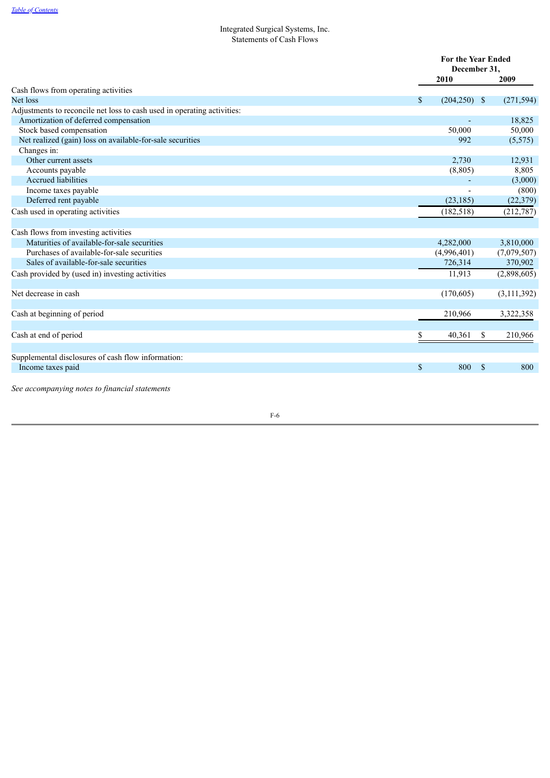## Integrated Surgical Systems, Inc. Statements of Cash Flows

|                                                                         |             | <b>For the Year Ended</b><br>December 31, |               |  |
|-------------------------------------------------------------------------|-------------|-------------------------------------------|---------------|--|
|                                                                         | 2010        |                                           | 2009          |  |
| Cash flows from operating activities                                    |             |                                           |               |  |
| Net loss                                                                | \$          | $(204,250)$ \$                            | (271, 594)    |  |
| Adjustments to reconcile net loss to cash used in operating activities: |             |                                           |               |  |
| Amortization of deferred compensation                                   |             |                                           | 18,825        |  |
| Stock based compensation                                                |             | 50,000                                    | 50,000        |  |
| Net realized (gain) loss on available-for-sale securities               |             | 992                                       | (5, 575)      |  |
| Changes in:                                                             |             |                                           |               |  |
| Other current assets                                                    |             | 2,730                                     | 12,931        |  |
| Accounts payable                                                        |             | (8, 805)                                  | 8,805         |  |
| <b>Accrued</b> liabilities                                              |             |                                           | (3,000)       |  |
| Income taxes payable                                                    |             |                                           | (800)         |  |
| Deferred rent payable                                                   |             | (23, 185)                                 | (22, 379)     |  |
| Cash used in operating activities                                       |             | (182, 518)                                | (212, 787)    |  |
| Cash flows from investing activities                                    |             |                                           |               |  |
| Maturities of available-for-sale securities                             | 4,282,000   |                                           | 3,810,000     |  |
| Purchases of available-for-sale securities                              | (4,996,401) |                                           | (7,079,507)   |  |
| Sales of available-for-sale securities                                  |             | 726,314                                   | 370,902       |  |
| Cash provided by (used in) investing activities                         |             | 11,913                                    | (2,898,605)   |  |
|                                                                         |             |                                           |               |  |
| Net decrease in cash                                                    |             | (170,605)                                 | (3, 111, 392) |  |
| Cash at beginning of period                                             |             | 210,966                                   | 3,322,358     |  |
|                                                                         |             |                                           |               |  |
| Cash at end of period                                                   | \$          | 40,361<br><sup>\$</sup>                   | 210,966       |  |
| Supplemental disclosures of cash flow information:                      |             |                                           |               |  |
| Income taxes paid                                                       | \$          | 800<br>$\mathbb{S}$                       | 800           |  |
| See assempanying notes to financial statements                          |             |                                           |               |  |

*See accompanying notes to financial statements*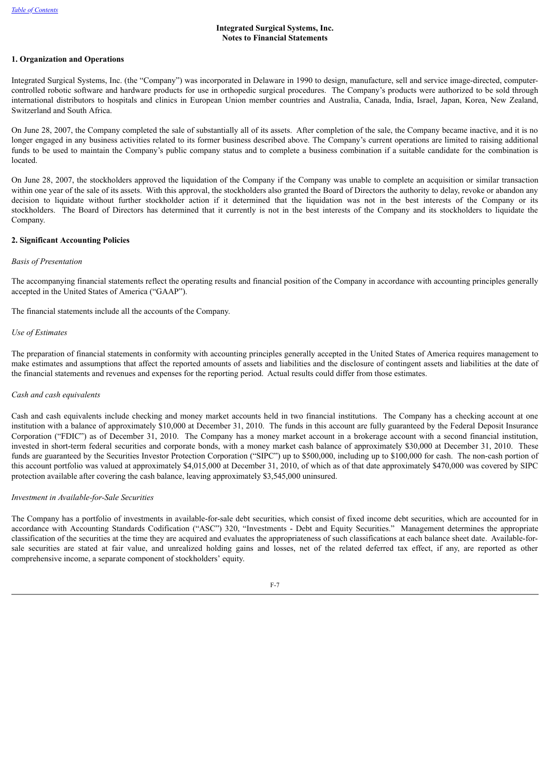#### **Integrated Surgical Systems, Inc. Notes to Financial Statements**

#### **1. Organization and Operations**

Integrated Surgical Systems, Inc. (the "Company") was incorporated in Delaware in 1990 to design, manufacture, sell and service image-directed, computercontrolled robotic software and hardware products for use in orthopedic surgical procedures. The Company's products were authorized to be sold through international distributors to hospitals and clinics in European Union member countries and Australia, Canada, India, Israel, Japan, Korea, New Zealand, Switzerland and South Africa.

On June 28, 2007, the Company completed the sale of substantially all of its assets. After completion of the sale, the Company became inactive, and it is no longer engaged in any business activities related to its former business described above. The Company's current operations are limited to raising additional funds to be used to maintain the Company's public company status and to complete a business combination if a suitable candidate for the combination is located.

On June 28, 2007, the stockholders approved the liquidation of the Company if the Company was unable to complete an acquisition or similar transaction within one year of the sale of its assets. With this approval, the stockholders also granted the Board of Directors the authority to delay, revoke or abandon any decision to liquidate without further stockholder action if it determined that the liquidation was not in the best interests of the Company or its stockholders. The Board of Directors has determined that it currently is not in the best interests of the Company and its stockholders to liquidate the Company.

#### **2. Significant Accounting Policies**

#### *Basis of Presentation*

The accompanying financial statements reflect the operating results and financial position of the Company in accordance with accounting principles generally accepted in the United States of America ("GAAP").

The financial statements include all the accounts of the Company.

#### *Use of Estimates*

The preparation of financial statements in conformity with accounting principles generally accepted in the United States of America requires management to make estimates and assumptions that affect the reported amounts of assets and liabilities and the disclosure of contingent assets and liabilities at the date of the financial statements and revenues and expenses for the reporting period. Actual results could differ from those estimates.

#### *Cash and cash equivalents*

Cash and cash equivalents include checking and money market accounts held in two financial institutions. The Company has a checking account at one institution with a balance of approximately \$10,000 at December 31, 2010. The funds in this account are fully guaranteed by the Federal Deposit Insurance Corporation ("FDIC") as of December 31, 2010. The Company has a money market account in a brokerage account with a second financial institution, invested in short-term federal securities and corporate bonds, with a money market cash balance of approximately \$30,000 at December 31, 2010. These funds are guaranteed by the Securities Investor Protection Corporation ("SIPC") up to \$500,000, including up to \$100,000 for cash. The non-cash portion of this account portfolio was valued at approximately \$4,015,000 at December 31, 2010, of which as of that date approximately \$470,000 was covered by SIPC protection available after covering the cash balance, leaving approximately \$3,545,000 uninsured.

#### *Investment in Available-for-Sale Securities*

The Company has a portfolio of investments in available-for-sale debt securities, which consist of fixed income debt securities, which are accounted for in accordance with Accounting Standards Codification ("ASC") 320, "Investments - Debt and Equity Securities." Management determines the appropriate classification of the securities at the time they are acquired and evaluates the appropriateness of such classifications at each balance sheet date. Available-forsale securities are stated at fair value, and unrealized holding gains and losses, net of the related deferred tax effect, if any, are reported as other comprehensive income, a separate component of stockholders' equity.

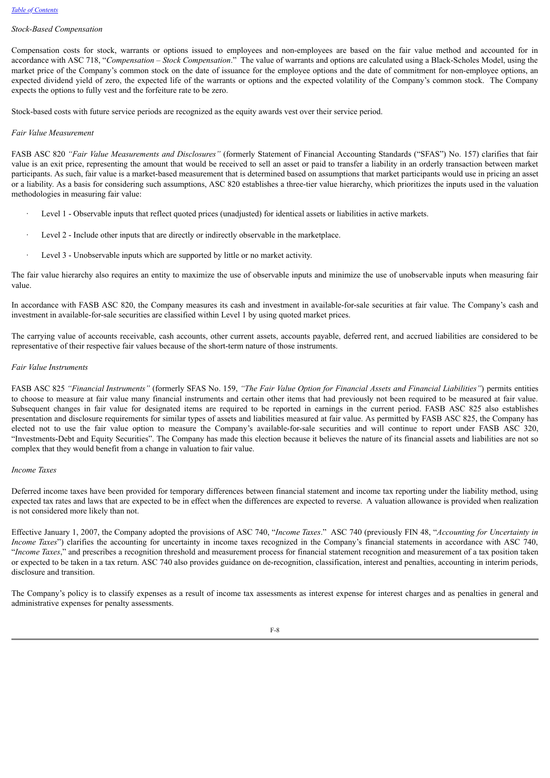#### *Stock-Based Compensation*

Compensation costs for stock, warrants or options issued to employees and non-employees are based on the fair value method and accounted for in accordance with ASC 718, "*Compensation – Stock Compensation*." The value of warrants and options are calculated using a Black-Scholes Model, using the market price of the Company's common stock on the date of issuance for the employee options and the date of commitment for non-employee options, an expected dividend yield of zero, the expected life of the warrants or options and the expected volatility of the Company's common stock. The Company expects the options to fully vest and the forfeiture rate to be zero.

Stock-based costs with future service periods are recognized as the equity awards vest over their service period.

#### *Fair Value Measurement*

FASB ASC 820 *"Fair Value Measurements and Disclosures"* (formerly Statement of Financial Accounting Standards ("SFAS") No. 157) clarifies that fair value is an exit price, representing the amount that would be received to sell an asset or paid to transfer a liability in an orderly transaction between market participants. As such, fair value is a market-based measurement that is determined based on assumptions that market participants would use in pricing an asset or a liability. As a basis for considering such assumptions, ASC 820 establishes a three-tier value hierarchy, which prioritizes the inputs used in the valuation methodologies in measuring fair value:

- Level 1 Observable inputs that reflect quoted prices (unadjusted) for identical assets or liabilities in active markets.
- · Level 2 Include other inputs that are directly or indirectly observable in the marketplace.
- · Level 3 Unobservable inputs which are supported by little or no market activity.

The fair value hierarchy also requires an entity to maximize the use of observable inputs and minimize the use of unobservable inputs when measuring fair value.

In accordance with FASB ASC 820, the Company measures its cash and investment in available-for-sale securities at fair value. The Company's cash and investment in available-for-sale securities are classified within Level 1 by using quoted market prices.

The carrying value of accounts receivable, cash accounts, other current assets, accounts payable, deferred rent, and accrued liabilities are considered to be representative of their respective fair values because of the short-term nature of those instruments.

#### *Fair Value Instruments*

FASB ASC 825 "Financial Instruments" (formerly SFAS No. 159, "The Fair Value Option for Financial Assets and Financial Liabilities") permits entities to choose to measure at fair value many financial instruments and certain other items that had previously not been required to be measured at fair value. Subsequent changes in fair value for designated items are required to be reported in earnings in the current period. FASB ASC 825 also establishes presentation and disclosure requirements for similar types of assets and liabilities measured at fair value. As permitted by FASB ASC 825, the Company has elected not to use the fair value option to measure the Company's available-for-sale securities and will continue to report under FASB ASC 320, "Investments-Debt and Equity Securities". The Company has made this election because it believes the nature of its financial assets and liabilities are not so complex that they would benefit from a change in valuation to fair value.

#### *Income Taxes*

Deferred income taxes have been provided for temporary differences between financial statement and income tax reporting under the liability method, using expected tax rates and laws that are expected to be in effect when the differences are expected to reverse. A valuation allowance is provided when realization is not considered more likely than not.

Effective January 1, 2007, the Company adopted the provisions of ASC 740, "*Income Taxes*." ASC 740 (previously FIN 48, "*Accounting for Uncertainty in Income Taxes*") clarifies the accounting for uncertainty in income taxes recognized in the Company's financial statements in accordance with ASC 740, "*Income Taxes*," and prescribes a recognition threshold and measurement process for financial statement recognition and measurement of a tax position taken or expected to be taken in a tax return. ASC 740 also provides guidance on de-recognition, classification, interest and penalties, accounting in interim periods, disclosure and transition.

The Company's policy is to classify expenses as a result of income tax assessments as interest expense for interest charges and as penalties in general and administrative expenses for penalty assessments.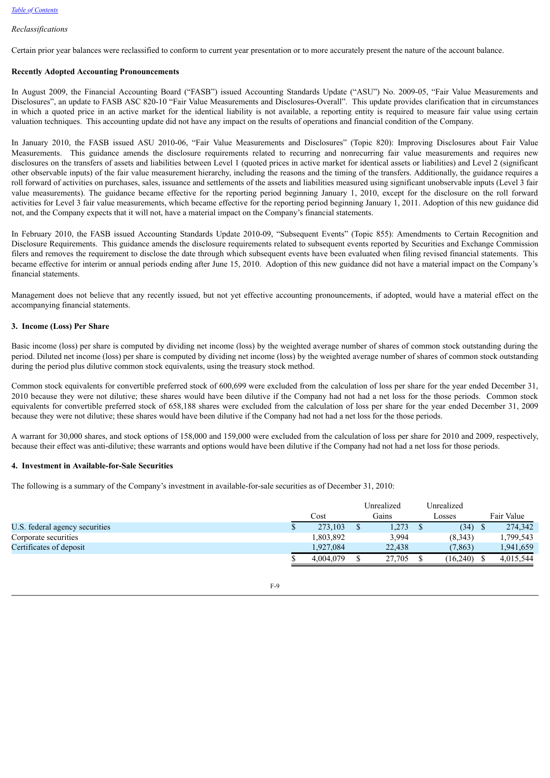#### *Reclassifications*

Certain prior year balances were reclassified to conform to current year presentation or to more accurately present the nature of the account balance.

#### **Recently Adopted Accounting Pronouncements**

In August 2009, the Financial Accounting Board ("FASB") issued Accounting Standards Update ("ASU") No. 2009-05, "Fair Value Measurements and Disclosures", an update to FASB ASC 820-10 "Fair Value Measurements and Disclosures-Overall". This update provides clarification that in circumstances in which a quoted price in an active market for the identical liability is not available, a reporting entity is required to measure fair value using certain valuation techniques. This accounting update did not have any impact on the results of operations and financial condition of the Company.

In January 2010, the FASB issued ASU 2010-06, "Fair Value Measurements and Disclosures" (Topic 820): Improving Disclosures about Fair Value Measurements. This guidance amends the disclosure requirements related to recurring and nonrecurring fair value measurements and requires new disclosures on the transfers of assets and liabilities between Level 1 (quoted prices in active market for identical assets or liabilities) and Level 2 (significant other observable inputs) of the fair value measurement hierarchy, including the reasons and the timing of the transfers. Additionally, the guidance requires a roll forward of activities on purchases, sales, issuance and settlements of the assets and liabilities measured using significant unobservable inputs (Level 3 fair value measurements). The guidance became effective for the reporting period beginning January 1, 2010, except for the disclosure on the roll forward activities for Level 3 fair value measurements, which became effective for the reporting period beginning January 1, 2011. Adoption of this new guidance did not, and the Company expects that it will not, have a material impact on the Company's financial statements.

In February 2010, the FASB issued Accounting Standards Update 2010-09, "Subsequent Events" (Topic 855): Amendments to Certain Recognition and Disclosure Requirements. This guidance amends the disclosure requirements related to subsequent events reported by Securities and Exchange Commission filers and removes the requirement to disclose the date through which subsequent events have been evaluated when filing revised financial statements. This became effective for interim or annual periods ending after June 15, 2010. Adoption of this new guidance did not have a material impact on the Company's financial statements.

Management does not believe that any recently issued, but not yet effective accounting pronouncements, if adopted, would have a material effect on the accompanying financial statements.

#### **3. Income (Loss) Per Share**

Basic income (loss) per share is computed by dividing net income (loss) by the weighted average number of shares of common stock outstanding during the period. Diluted net income (loss) per share is computed by dividing net income (loss) by the weighted average number of shares of common stock outstanding during the period plus dilutive common stock equivalents, using the treasury stock method.

Common stock equivalents for convertible preferred stock of 600,699 were excluded from the calculation of loss per share for the year ended December 31, 2010 because they were not dilutive; these shares would have been dilutive if the Company had not had a net loss for the those periods. Common stock equivalents for convertible preferred stock of 658,188 shares were excluded from the calculation of loss per share for the year ended December 31, 2009 because they were not dilutive; these shares would have been dilutive if the Company had not had a net loss for the those periods.

A warrant for 30,000 shares, and stock options of 158,000 and 159,000 were excluded from the calculation of loss per share for 2010 and 2009, respectively, because their effect was anti-dilutive; these warrants and options would have been dilutive if the Company had not had a net loss for those periods.

#### **4. Investment in Available-for-Sale Securities**

The following is a summary of the Company's investment in available-for-sale securities as of December 31, 2010:

|                                |   |           | Unrealized | Unrealized |            |
|--------------------------------|---|-----------|------------|------------|------------|
|                                |   | Cost      | Gains      | Losses     | Fair Value |
| U.S. federal agency securities | Φ | 273,103   | .273       | (34)       | 274,342    |
| Corporate securities           |   | 1,803,892 | 3,994      | (8,343)    | 1,799,543  |
| Certificates of deposit        |   | 1.927.084 | 22.438     | (7, 863)   | 1,941,659  |
|                                |   | 4.004.079 | 27,705     | (16,240)   | 4,015,544  |

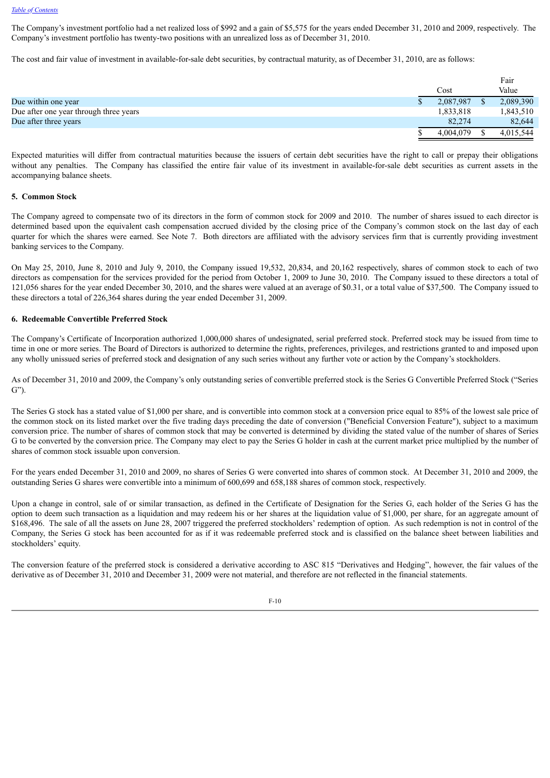The Company's investment portfolio had a net realized loss of \$992 and a gain of \$5,575 for the years ended December 31, 2010 and 2009, respectively. The Company's investment portfolio has twenty-two positions with an unrealized loss as of December 31, 2010.

The cost and fair value of investment in available-for-sale debt securities, by contractual maturity, as of December 31, 2010, are as follows:

|                                        |           | Fair      |
|----------------------------------------|-----------|-----------|
|                                        | Cost      | Value     |
| Due within one year                    | 2,087,987 | 2,089,390 |
| Due after one year through three years | 1,833,818 | 1,843,510 |
| Due after three years                  | 82.274    | 82.644    |
|                                        | 4.004.079 | 4,015,544 |

Expected maturities will differ from contractual maturities because the issuers of certain debt securities have the right to call or prepay their obligations without any penalties. The Company has classified the entire fair value of its investment in available-for-sale debt securities as current assets in the accompanying balance sheets.

#### **5. Common Stock**

The Company agreed to compensate two of its directors in the form of common stock for 2009 and 2010. The number of shares issued to each director is determined based upon the equivalent cash compensation accrued divided by the closing price of the Company's common stock on the last day of each quarter for which the shares were earned. See Note 7. Both directors are affiliated with the advisory services firm that is currently providing investment banking services to the Company.

On May 25, 2010, June 8, 2010 and July 9, 2010, the Company issued 19,532, 20,834, and 20,162 respectively, shares of common stock to each of two directors as compensation for the services provided for the period from October 1, 2009 to June 30, 2010. The Company issued to these directors a total of 121,056 shares for the year ended December 30, 2010, and the shares were valued at an average of \$0.31, or a total value of \$37,500. The Company issued to these directors a total of 226,364 shares during the year ended December 31, 2009.

#### **6. Redeemable Convertible Preferred Stock**

The Company's Certificate of Incorporation authorized 1,000,000 shares of undesignated, serial preferred stock. Preferred stock may be issued from time to time in one or more series. The Board of Directors is authorized to determine the rights, preferences, privileges, and restrictions granted to and imposed upon any wholly unissued series of preferred stock and designation of any such series without any further vote or action by the Company's stockholders.

As of December 31, 2010 and 2009, the Company's only outstanding series of convertible preferred stock is the Series G Convertible Preferred Stock ("Series G").

The Series G stock has a stated value of \$1,000 per share, and is convertible into common stock at a conversion price equal to 85% of the lowest sale price of the common stock on its listed market over the five trading days preceding the date of conversion ("Beneficial Conversion Feature"), subject to a maximum conversion price. The number of shares of common stock that may be converted is determined by dividing the stated value of the number of shares of Series G to be converted by the conversion price. The Company may elect to pay the Series G holder in cash at the current market price multiplied by the number of shares of common stock issuable upon conversion.

For the years ended December 31, 2010 and 2009, no shares of Series G were converted into shares of common stock. At December 31, 2010 and 2009, the outstanding Series G shares were convertible into a minimum of 600,699 and 658,188 shares of common stock, respectively.

Upon a change in control, sale of or similar transaction, as defined in the Certificate of Designation for the Series G, each holder of the Series G has the option to deem such transaction as a liquidation and may redeem his or her shares at the liquidation value of \$1,000, per share, for an aggregate amount of \$168,496. The sale of all the assets on June 28, 2007 triggered the preferred stockholders' redemption of option. As such redemption is not in control of the Company, the Series G stock has been accounted for as if it was redeemable preferred stock and is classified on the balance sheet between liabilities and stockholders' equity.

The conversion feature of the preferred stock is considered a derivative according to ASC 815 "Derivatives and Hedging", however, the fair values of the derivative as of December 31, 2010 and December 31, 2009 were not material, and therefore are not reflected in the financial statements.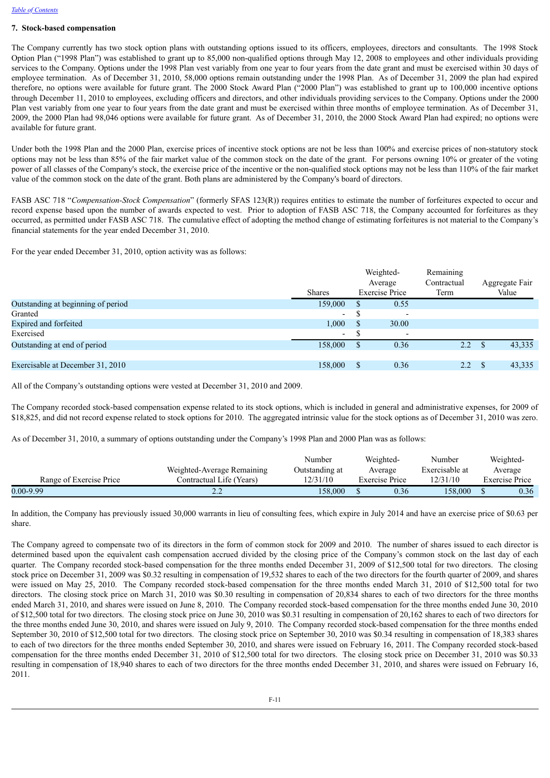## **7. Stock-based compensation**

The Company currently has two stock option plans with outstanding options issued to its officers, employees, directors and consultants. The 1998 Stock Option Plan ("1998 Plan") was established to grant up to 85,000 non-qualified options through May 12, 2008 to employees and other individuals providing services to the Company. Options under the 1998 Plan vest variably from one year to four years from the date grant and must be exercised within 30 days of employee termination. As of December 31, 2010, 58,000 options remain outstanding under the 1998 Plan. As of December 31, 2009 the plan had expired therefore, no options were available for future grant. The 2000 Stock Award Plan ("2000 Plan") was established to grant up to 100,000 incentive options through December 11, 2010 to employees, excluding officers and directors, and other individuals providing services to the Company. Options under the 2000 Plan vest variably from one year to four years from the date grant and must be exercised within three months of employee termination. As of December 31, 2009, the 2000 Plan had 98,046 options were available for future grant. As of December 31, 2010, the 2000 Stock Award Plan had expired; no options were available for future grant.

Under both the 1998 Plan and the 2000 Plan, exercise prices of incentive stock options are not be less than 100% and exercise prices of non-statutory stock options may not be less than 85% of the fair market value of the common stock on the date of the grant. For persons owning 10% or greater of the voting power of all classes of the Company's stock, the exercise price of the incentive or the non-qualified stock options may not be less than 110% of the fair market value of the common stock on the date of the grant. Both plans are administered by the Company's board of directors.

FASB ASC 718 "*Compensation-Stock Compensation*" (formerly SFAS 123(R)) requires entities to estimate the number of forfeitures expected to occur and record expense based upon the number of awards expected to vest. Prior to adoption of FASB ASC 718, the Company accounted for forfeitures as they occurred, as permitted under FASB ASC 718. The cumulative effect of adopting the method change of estimating forfeitures is not material to the Company's financial statements for the year ended December 31, 2010.

For the year ended December 31, 2010, option activity was as follows:

|                                    |                          | Weighted- |                          |               |                | Remaining |  |
|------------------------------------|--------------------------|-----------|--------------------------|---------------|----------------|-----------|--|
|                                    |                          |           | Average                  | Contractual   | Aggregate Fair |           |  |
|                                    | <b>Shares</b>            |           | <b>Exercise Price</b>    | Term          | Value          |           |  |
| Outstanding at beginning of period | 159,000                  | S         | 0.55                     |               |                |           |  |
| Granted                            | $\overline{\phantom{a}}$ |           | $\overline{\phantom{0}}$ |               |                |           |  |
| Expired and forfeited              | 1,000                    |           | 30.00                    |               |                |           |  |
| Exercised                          | $\sim$                   |           | $\overline{\phantom{0}}$ |               |                |           |  |
| Outstanding at end of period       | 158,000                  | S         | 0.36                     | $2.2^{\circ}$ | 43,335         |           |  |
|                                    |                          |           |                          |               |                |           |  |
| Exercisable at December 31, 2010   | 158,000                  |           | 0.36                     | 2.2           | 43,335         |           |  |

All of the Company's outstanding options were vested at December 31, 2010 and 2009.

The Company recorded stock-based compensation expense related to its stock options, which is included in general and administrative expenses, for 2009 of \$18,825, and did not record expense related to stock options for 2010. The aggregated intrinsic value for the stock options as of December 31, 2010 was zero.

As of December 31, 2010, a summary of options outstanding under the Company's 1998 Plan and 2000 Plan was as follows:

|                         |                            | Number         | Weighted-             | Number         | Weighted-             |
|-------------------------|----------------------------|----------------|-----------------------|----------------|-----------------------|
|                         | Weighted-Average Remaining | Outstanding at | Average               | Exercisable at | Average               |
| Range of Exercise Price | Contractual Life (Years)   | 12/31/10       | <b>Exercise Price</b> | 12/31/10       | <b>Exercise Price</b> |
| $0.00 - 9.99$           | ے ۔                        | 158.000        | 0.36                  | 158,000        | 0.36                  |

In addition, the Company has previously issued 30,000 warrants in lieu of consulting fees, which expire in July 2014 and have an exercise price of \$0.63 per share.

The Company agreed to compensate two of its directors in the form of common stock for 2009 and 2010. The number of shares issued to each director is determined based upon the equivalent cash compensation accrued divided by the closing price of the Company's common stock on the last day of each quarter. The Company recorded stock-based compensation for the three months ended December 31, 2009 of \$12,500 total for two directors. The closing stock price on December 31, 2009 was \$0.32 resulting in compensation of 19,532 shares to each of the two directors for the fourth quarter of 2009, and shares were issued on May 25, 2010. The Company recorded stock-based compensation for the three months ended March 31, 2010 of \$12,500 total for two directors. The closing stock price on March 31, 2010 was \$0.30 resulting in compensation of 20,834 shares to each of two directors for the three months ended March 31, 2010, and shares were issued on June 8, 2010. The Company recorded stock-based compensation for the three months ended June 30, 2010 of \$12,500 total for two directors. The closing stock price on June 30, 2010 was \$0.31 resulting in compensation of 20,162 shares to each of two directors for the three months ended June 30, 2010, and shares were issued on July 9, 2010. The Company recorded stock-based compensation for the three months ended September 30, 2010 of \$12,500 total for two directors. The closing stock price on September 30, 2010 was \$0.34 resulting in compensation of 18,383 shares to each of two directors for the three months ended September 30, 2010, and shares were issued on February 16, 2011. The Company recorded stock-based compensation for the three months ended December 31, 2010 of \$12,500 total for two directors. The closing stock price on December 31, 2010 was \$0.33 resulting in compensation of 18,940 shares to each of two directors for the three months ended December 31, 2010, and shares were issued on February 16, 2011.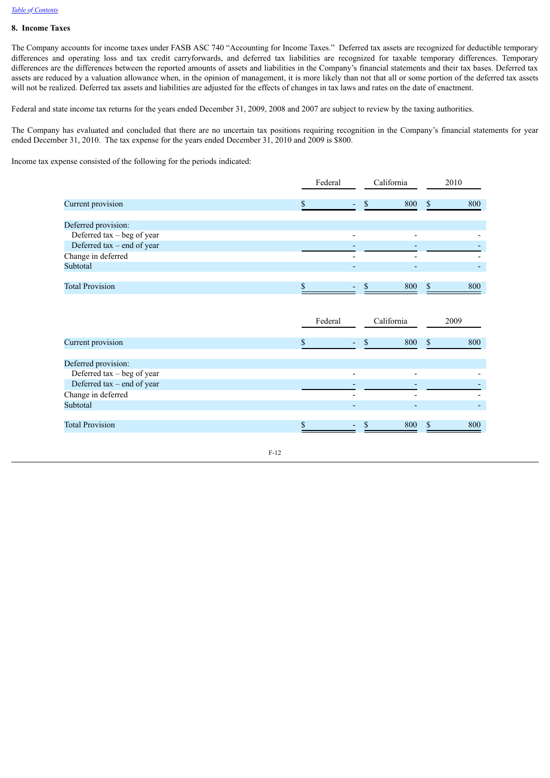## **8. Income Taxes**

The Company accounts for income taxes under FASB ASC 740 "Accounting for Income Taxes." Deferred tax assets are recognized for deductible temporary differences and operating loss and tax credit carryforwards, and deferred tax liabilities are recognized for taxable temporary differences. Temporary differences are the differences between the reported amounts of assets and liabilities in the Company's financial statements and their tax bases. Deferred tax assets are reduced by a valuation allowance when, in the opinion of management, it is more likely than not that all or some portion of the deferred tax assets will not be realized. Deferred tax assets and liabilities are adjusted for the effects of changes in tax laws and rates on the date of enactment.

Federal and state income tax returns for the years ended December 31, 2009, 2008 and 2007 are subject to review by the taxing authorities.

The Company has evaluated and concluded that there are no uncertain tax positions requiring recognition in the Company's financial statements for year ended December 31, 2010. The tax expense for the years ended December 31, 2010 and 2009 is \$800.

Income tax expense consisted of the following for the periods indicated:

|                            | Federal |                          | California               | 2010         |      |  |
|----------------------------|---------|--------------------------|--------------------------|--------------|------|--|
| Current provision          | \$      | \$                       | 800                      | \$           | 800  |  |
| Deferred provision:        |         |                          |                          |              |      |  |
| Deferred tax – beg of year |         | $\overline{\phantom{0}}$ | $\overline{\phantom{a}}$ |              |      |  |
| Deferred tax - end of year |         |                          |                          |              |      |  |
| Change in deferred         |         |                          |                          |              |      |  |
| Subtotal                   |         |                          |                          |              |      |  |
| <b>Total Provision</b>     | \$      | \$                       | 800                      | \$           | 800  |  |
|                            | Federal |                          | California               |              | 2009 |  |
| Current provision          | \$      | \$                       | 800                      | $\mathbb{S}$ | 800  |  |
| Deferred provision:        |         |                          |                          |              |      |  |
| Deferred tax - beg of year |         |                          | ٠                        |              |      |  |
| Deferred tax – end of year |         |                          |                          |              |      |  |
| Change in deferred         |         |                          |                          |              |      |  |
| Subtotal                   |         |                          |                          |              |      |  |
| <b>Total Provision</b>     | \$      |                          | 800                      | \$           | 800  |  |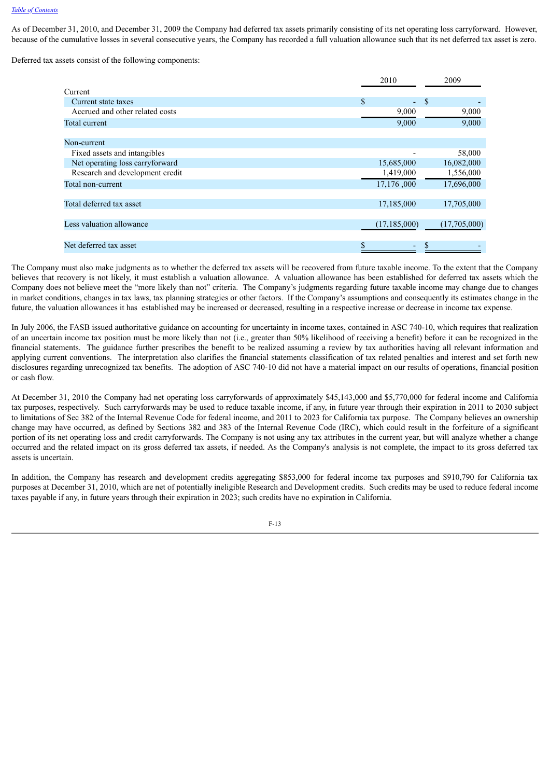As of December 31, 2010, and December 31, 2009 the Company had deferred tax assets primarily consisting of its net operating loss carryforward. However, because of the cumulative losses in several consecutive years, the Company has recorded a full valuation allowance such that its net deferred tax asset is zero.

Deferred tax assets consist of the following components:

|                                 |              | 2010           |               | 2009         |
|---------------------------------|--------------|----------------|---------------|--------------|
| Current                         |              |                |               |              |
| Current state taxes             | $\mathbf{s}$ | ۰.             | <sup>\$</sup> |              |
| Accrued and other related costs |              | 9,000          |               | 9,000        |
| Total current                   |              | 9,000          |               | 9,000        |
|                                 |              |                |               |              |
| Non-current                     |              |                |               |              |
| Fixed assets and intangibles    |              |                |               | 58,000       |
| Net operating loss carryforward |              | 15,685,000     |               | 16,082,000   |
| Research and development credit |              | 1,419,000      |               | 1,556,000    |
| Total non-current               |              | 17,176,000     |               | 17,696,000   |
|                                 |              |                |               |              |
| Total deferred tax asset        |              | 17,185,000     |               | 17,705,000   |
|                                 |              |                |               |              |
| Less valuation allowance        |              | (17, 185, 000) |               | (17,705,000) |
|                                 |              |                |               |              |
| Net deferred tax asset          |              | ٠              | \$            |              |

The Company must also make judgments as to whether the deferred tax assets will be recovered from future taxable income. To the extent that the Company believes that recovery is not likely, it must establish a valuation allowance. A valuation allowance has been established for deferred tax assets which the Company does not believe meet the "more likely than not" criteria. The Company's judgments regarding future taxable income may change due to changes in market conditions, changes in tax laws, tax planning strategies or other factors. If the Company's assumptions and consequently its estimates change in the future, the valuation allowances it has established may be increased or decreased, resulting in a respective increase or decrease in income tax expense.

In July 2006, the FASB issued authoritative guidance on accounting for uncertainty in income taxes, contained in ASC 740-10, which requires that realization of an uncertain income tax position must be more likely than not (i.e., greater than 50% likelihood of receiving a benefit) before it can be recognized in the financial statements. The guidance further prescribes the benefit to be realized assuming a review by tax authorities having all relevant information and applying current conventions. The interpretation also clarifies the financial statements classification of tax related penalties and interest and set forth new disclosures regarding unrecognized tax benefits. The adoption of ASC 740-10 did not have a material impact on our results of operations, financial position or cash flow.

At December 31, 2010 the Company had net operating loss carryforwards of approximately \$45,143,000 and \$5,770,000 for federal income and California tax purposes, respectively. Such carryforwards may be used to reduce taxable income, if any, in future year through their expiration in 2011 to 2030 subject to limitations of Sec 382 of the Internal Revenue Code for federal income, and 2011 to 2023 for California tax purpose. The Company believes an ownership change may have occurred, as defined by Sections 382 and 383 of the Internal Revenue Code (IRC), which could result in the forfeiture of a significant portion of its net operating loss and credit carryforwards. The Company is not using any tax attributes in the current year, but will analyze whether a change occurred and the related impact on its gross deferred tax assets, if needed. As the Company's analysis is not complete, the impact to its gross deferred tax assets is uncertain.

In addition, the Company has research and development credits aggregating \$853,000 for federal income tax purposes and \$910,790 for California tax purposes at December 31, 2010, which are net of potentially ineligible Research and Development credits. Such credits may be used to reduce federal income taxes payable if any, in future years through their expiration in 2023; such credits have no expiration in California.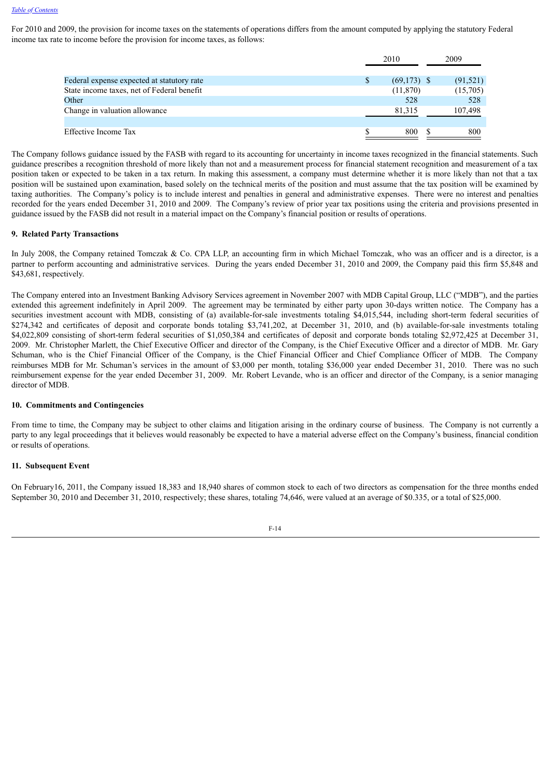For 2010 and 2009, the provision for income taxes on the statements of operations differs from the amount computed by applying the statutory Federal income tax rate to income before the provision for income taxes, as follows:

|                                            | 2010                |  | 2009      |
|--------------------------------------------|---------------------|--|-----------|
| Federal expense expected at statutory rate | \$<br>$(69,173)$ \$ |  | (91, 521) |
| State income taxes, net of Federal benefit | (11, 870)           |  | (15,705)  |
| Other                                      | 528                 |  | 528       |
| Change in valuation allowance              | 81.315              |  | 107,498   |
| Effective Income Tax                       | 800                 |  | 800       |

The Company follows guidance issued by the FASB with regard to its accounting for uncertainty in income taxes recognized in the financial statements. Such guidance prescribes a recognition threshold of more likely than not and a measurement process for financial statement recognition and measurement of a tax position taken or expected to be taken in a tax return. In making this assessment, a company must determine whether it is more likely than not that a tax position will be sustained upon examination, based solely on the technical merits of the position and must assume that the tax position will be examined by taxing authorities. The Company's policy is to include interest and penalties in general and administrative expenses. There were no interest and penalties recorded for the years ended December 31, 2010 and 2009. The Company's review of prior year tax positions using the criteria and provisions presented in guidance issued by the FASB did not result in a material impact on the Company's financial position or results of operations.

#### **9. Related Party Transactions**

In July 2008, the Company retained Tomczak & Co. CPA LLP, an accounting firm in which Michael Tomczak, who was an officer and is a director, is a partner to perform accounting and administrative services. During the years ended December 31, 2010 and 2009, the Company paid this firm \$5,848 and \$43,681, respectively.

The Company entered into an Investment Banking Advisory Services agreement in November 2007 with MDB Capital Group, LLC ("MDB"), and the parties extended this agreement indefinitely in April 2009. The agreement may be terminated by either party upon 30-days written notice. The Company has a securities investment account with MDB, consisting of (a) available-for-sale investments totaling \$4,015,544, including short-term federal securities of \$274,342 and certificates of deposit and corporate bonds totaling \$3,741,202, at December 31, 2010, and (b) available-for-sale investments totaling \$4,022,809 consisting of short-term federal securities of \$1,050,384 and certificates of deposit and corporate bonds totaling \$2,972,425 at December 31, 2009. Mr. Christopher Marlett, the Chief Executive Officer and director of the Company, is the Chief Executive Officer and a director of MDB. Mr. Gary Schuman, who is the Chief Financial Officer of the Company, is the Chief Financial Officer and Chief Compliance Officer of MDB. The Company reimburses MDB for Mr. Schuman's services in the amount of \$3,000 per month, totaling \$36,000 year ended December 31, 2010. There was no such reimbursement expense for the year ended December 31, 2009. Mr. Robert Levande, who is an officer and director of the Company, is a senior managing director of MDB.

#### **10. Commitments and Contingencies**

From time to time, the Company may be subject to other claims and litigation arising in the ordinary course of business. The Company is not currently a party to any legal proceedings that it believes would reasonably be expected to have a material adverse effect on the Company's business, financial condition or results of operations.

#### **11. Subsequent Event**

On February16, 2011, the Company issued 18,383 and 18,940 shares of common stock to each of two directors as compensation for the three months ended September 30, 2010 and December 31, 2010, respectively; these shares, totaling 74,646, were valued at an average of \$0.335, or a total of \$25,000.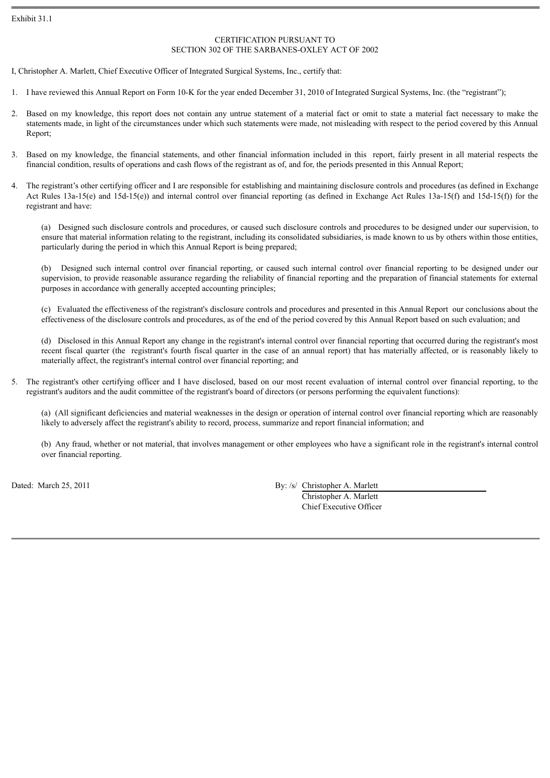## <span id="page-31-0"></span>Exhibit 31.1

#### CERTIFICATION PURSUANT TO SECTION 302 OF THE SARBANES-OXLEY ACT OF 2002

I, Christopher A. Marlett, Chief Executive Officer of Integrated Surgical Systems, Inc., certify that:

1. I have reviewed this Annual Report on Form 10-K for the year ended December 31, 2010 of Integrated Surgical Systems, Inc. (the "registrant");

- 2. Based on my knowledge, this report does not contain any untrue statement of a material fact or omit to state a material fact necessary to make the statements made, in light of the circumstances under which such statements were made, not misleading with respect to the period covered by this Annual Report;
- 3. Based on my knowledge, the financial statements, and other financial information included in this report, fairly present in all material respects the financial condition, results of operations and cash flows of the registrant as of, and for, the periods presented in this Annual Report;
- 4. The registrant's other certifying officer and I are responsible for establishing and maintaining disclosure controls and procedures (as defined in Exchange Act Rules 13a-15(e) and 15d-15(e)) and internal control over financial reporting (as defined in Exchange Act Rules 13a-15(f) and 15d-15(f)) for the registrant and have:

(a) Designed such disclosure controls and procedures, or caused such disclosure controls and procedures to be designed under our supervision, to ensure that material information relating to the registrant, including its consolidated subsidiaries, is made known to us by others within those entities, particularly during the period in which this Annual Report is being prepared;

(b) Designed such internal control over financial reporting, or caused such internal control over financial reporting to be designed under our supervision, to provide reasonable assurance regarding the reliability of financial reporting and the preparation of financial statements for external purposes in accordance with generally accepted accounting principles;

(c) Evaluated the effectiveness of the registrant's disclosure controls and procedures and presented in this Annual Report our conclusions about the effectiveness of the disclosure controls and procedures, as of the end of the period covered by this Annual Report based on such evaluation; and

(d) Disclosed in this Annual Report any change in the registrant's internal control over financial reporting that occurred during the registrant's most recent fiscal quarter (the registrant's fourth fiscal quarter in the case of an annual report) that has materially affected, or is reasonably likely to materially affect, the registrant's internal control over financial reporting; and

5. The registrant's other certifying officer and I have disclosed, based on our most recent evaluation of internal control over financial reporting, to the registrant's auditors and the audit committee of the registrant's board of directors (or persons performing the equivalent functions):

(a) (All significant deficiencies and material weaknesses in the design or operation of internal control over financial reporting which are reasonably likely to adversely affect the registrant's ability to record, process, summarize and report financial information; and

(b) Any fraud, whether or not material, that involves management or other employees who have a significant role in the registrant's internal control over financial reporting.

Dated: March 25, 2011 By: /s/ Christopher A. Marlett

Christopher A. Marlett Chief Executive Officer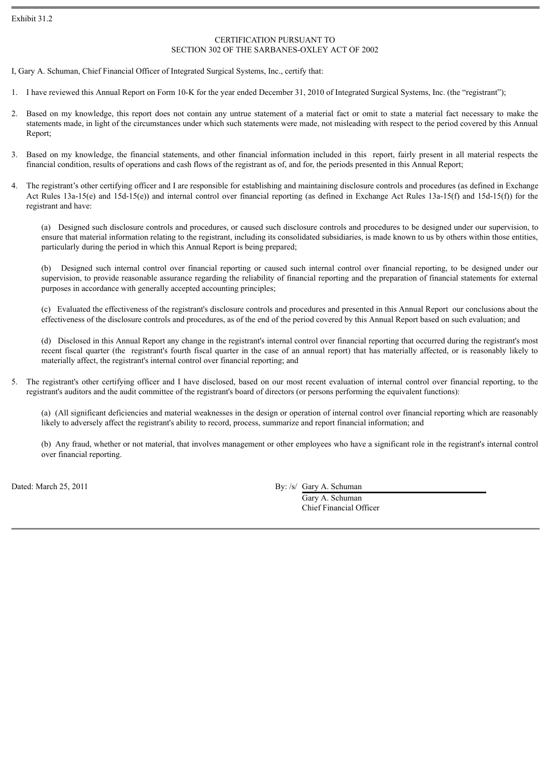## <span id="page-32-0"></span>Exhibit 31.2

#### CERTIFICATION PURSUANT TO SECTION 302 OF THE SARBANES-OXLEY ACT OF 2002

I, Gary A. Schuman, Chief Financial Officer of Integrated Surgical Systems, Inc., certify that:

1. I have reviewed this Annual Report on Form 10-K for the year ended December 31, 2010 of Integrated Surgical Systems, Inc. (the "registrant");

- 2. Based on my knowledge, this report does not contain any untrue statement of a material fact or omit to state a material fact necessary to make the statements made, in light of the circumstances under which such statements were made, not misleading with respect to the period covered by this Annual Report;
- 3. Based on my knowledge, the financial statements, and other financial information included in this report, fairly present in all material respects the financial condition, results of operations and cash flows of the registrant as of, and for, the periods presented in this Annual Report;
- 4. The registrant's other certifying officer and I are responsible for establishing and maintaining disclosure controls and procedures (as defined in Exchange Act Rules 13a-15(e) and 15d-15(e)) and internal control over financial reporting (as defined in Exchange Act Rules 13a-15(f) and 15d-15(f)) for the registrant and have:

(a) Designed such disclosure controls and procedures, or caused such disclosure controls and procedures to be designed under our supervision, to ensure that material information relating to the registrant, including its consolidated subsidiaries, is made known to us by others within those entities, particularly during the period in which this Annual Report is being prepared;

(b) Designed such internal control over financial reporting or caused such internal control over financial reporting, to be designed under our supervision, to provide reasonable assurance regarding the reliability of financial reporting and the preparation of financial statements for external purposes in accordance with generally accepted accounting principles;

(c) Evaluated the effectiveness of the registrant's disclosure controls and procedures and presented in this Annual Report our conclusions about the effectiveness of the disclosure controls and procedures, as of the end of the period covered by this Annual Report based on such evaluation; and

(d) Disclosed in this Annual Report any change in the registrant's internal control over financial reporting that occurred during the registrant's most recent fiscal quarter (the registrant's fourth fiscal quarter in the case of an annual report) that has materially affected, or is reasonably likely to materially affect, the registrant's internal control over financial reporting; and

5. The registrant's other certifying officer and I have disclosed, based on our most recent evaluation of internal control over financial reporting, to the registrant's auditors and the audit committee of the registrant's board of directors (or persons performing the equivalent functions):

(a) (All significant deficiencies and material weaknesses in the design or operation of internal control over financial reporting which are reasonably likely to adversely affect the registrant's ability to record, process, summarize and report financial information; and

(b) Any fraud, whether or not material, that involves management or other employees who have a significant role in the registrant's internal control over financial reporting.

Dated: March 25, 2011 By: /s/ Gary A. Schuman

Gary A. Schuman Chief Financial Officer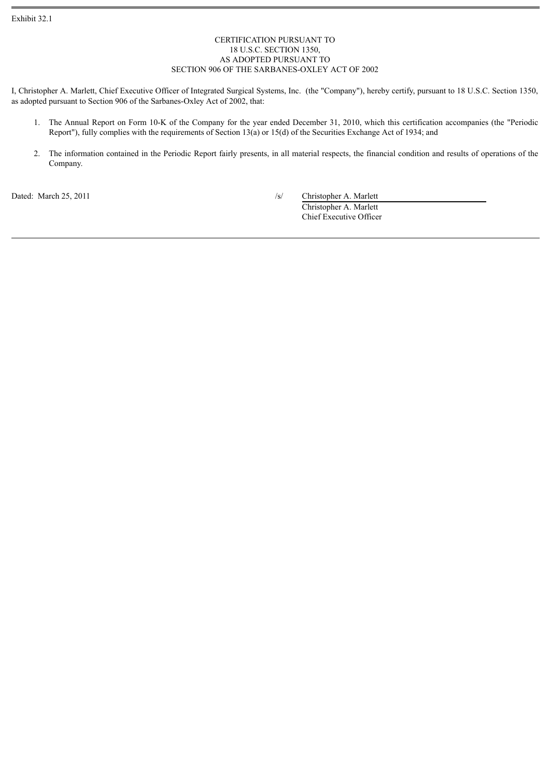<span id="page-33-0"></span>Exhibit 32.1

## CERTIFICATION PURSUANT TO 18 U.S.C. SECTION 1350, AS ADOPTED PURSUANT TO SECTION 906 OF THE SARBANES-OXLEY ACT OF 2002

I, Christopher A. Marlett, Chief Executive Officer of Integrated Surgical Systems, Inc. (the "Company"), hereby certify, pursuant to 18 U.S.C. Section 1350, as adopted pursuant to Section 906 of the Sarbanes-Oxley Act of 2002, that:

- 1. The Annual Report on Form 10-K of the Company for the year ended December 31, 2010, which this certification accompanies (the "Periodic Report"), fully complies with the requirements of Section 13(a) or 15(d) of the Securities Exchange Act of 1934; and
- 2. The information contained in the Periodic Report fairly presents, in all material respects, the financial condition and results of operations of the Company.

Dated: March 25, 2011 /s/ Christopher A. Marlett

Christopher A. Marlett Chief Executive Officer